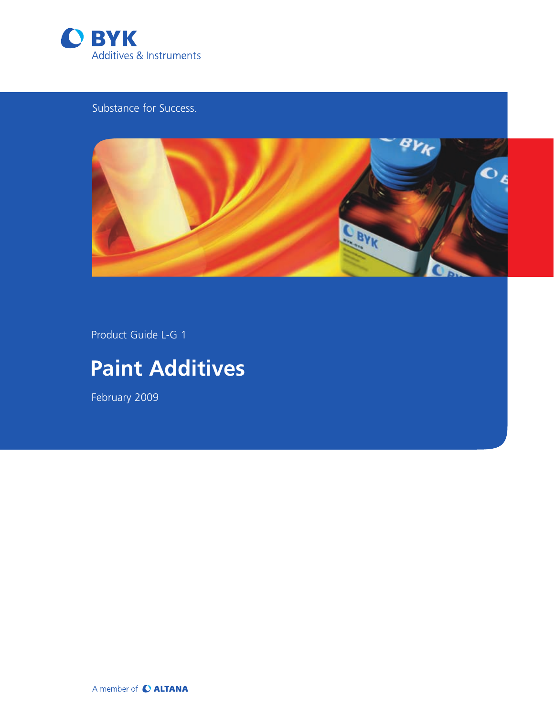

Substance for Success.



Product Guide L-G 1

# **Paint Additives**

February 2009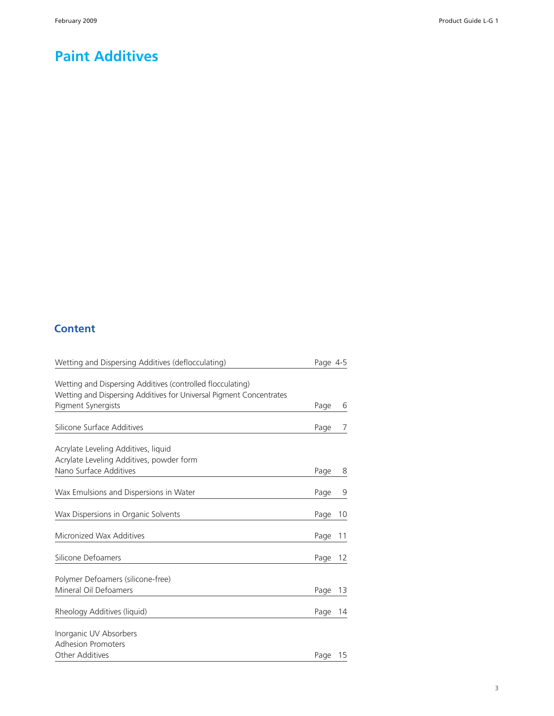#### **Paint Additives**

#### **Content**

| Wetting and Dispersing Additives (deflocculating)                                                                                                       | Page 4-5 |    |
|---------------------------------------------------------------------------------------------------------------------------------------------------------|----------|----|
| Wetting and Dispersing Additives (controlled flocculating)<br>Wetting and Dispersing Additives for Universal Pigment Concentrates<br>Pigment Synergists | Page     | 6  |
|                                                                                                                                                         |          |    |
| Silicone Surface Additives                                                                                                                              | Page     | 7  |
| Acrylate Leveling Additives, liquid                                                                                                                     |          |    |
| Acrylate Leveling Additives, powder form                                                                                                                |          |    |
| Nano Surface Additives                                                                                                                                  | Page     | 8  |
| Wax Emulsions and Dispersions in Water                                                                                                                  | Page     | 9  |
| Wax Dispersions in Organic Solvents                                                                                                                     | Page     | 10 |
| Micronized Wax Additives                                                                                                                                | Page     | 11 |
| Silicone Defoamers                                                                                                                                      | Page     | 12 |
| Polymer Defoamers (silicone-free)                                                                                                                       |          |    |
| Mineral Oil Defoamers                                                                                                                                   | Page     | 13 |
| Rheology Additives (liquid)                                                                                                                             | Page     | 14 |
| Inorganic UV Absorbers                                                                                                                                  |          |    |
| <b>Adhesion Promoters</b>                                                                                                                               |          |    |
| <b>Other Additives</b>                                                                                                                                  | Page     | 15 |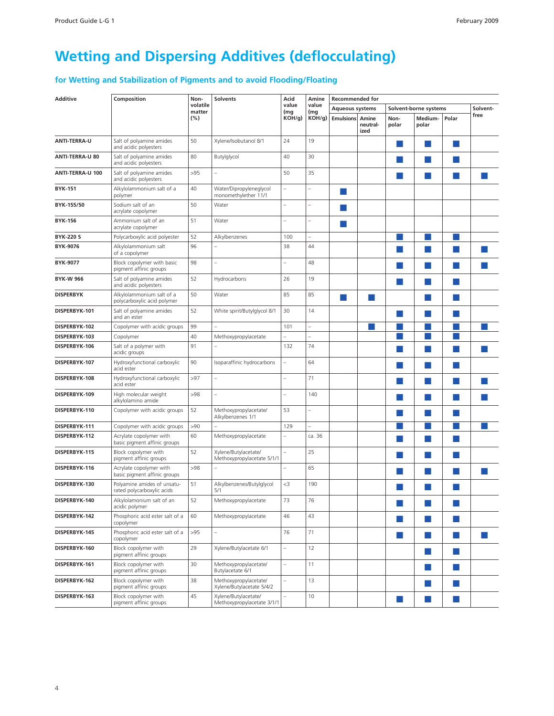### <span id="page-2-0"></span>**Wetting and Dispersing Additives (deflocculating)**

#### **for Wetting and Stabilization of Pigments and to avoid Flooding/Floating**

| <b>Additive</b>        | Composition                                               | Non-               | <b>Solvents</b>                                    | Acid                     | Amine        | <b>Recommended for</b> |                  |                        |                       |                                                                                                                                                                                                         |          |
|------------------------|-----------------------------------------------------------|--------------------|----------------------------------------------------|--------------------------|--------------|------------------------|------------------|------------------------|-----------------------|---------------------------------------------------------------------------------------------------------------------------------------------------------------------------------------------------------|----------|
|                        |                                                           | volatile<br>matter |                                                    | value                    | value        | <b>Aqueous systems</b> |                  |                        | Solvent-borne systems | Polar<br>×<br>×<br>and the state of the state of the state of the state of the state of the state of the state of the state of th<br>×<br>×<br>×<br>×<br>×<br>×<br>m.<br>ш<br><b>College</b><br>m.<br>× | Solvent- |
|                        |                                                           | (%)                |                                                    | (mg<br>KOH/g)            | (mg<br>KOH/g | <b>Emulsions Amine</b> | neutral-<br>ized | Non-<br>polar          | Medium-<br>polar      |                                                                                                                                                                                                         | free     |
| <b>ANTI-TERRA-U</b>    | Salt of polyamine amides<br>and acidic polyesters         | 50                 | Xylene/Isobutanol 8/1                              | 24                       | 19           |                        |                  |                        |                       |                                                                                                                                                                                                         |          |
| <b>ANTI-TERRA-U 80</b> | Salt of polyamine amides<br>and acidic polyesters         | 80                 | Butylglycol                                        | 40                       | 30           |                        |                  | ×.                     |                       |                                                                                                                                                                                                         |          |
| ANTI-TERRA-U 100       | Salt of polyamine amides<br>and acidic polyesters         | >95                |                                                    | 50                       | 35           |                        |                  |                        |                       |                                                                                                                                                                                                         |          |
| <b>BYK-151</b>         | Alkylolammonium salt of a<br>polymer                      | 40                 | Water/Dipropyleneglycol<br>monomethylether 11/1    |                          |              | <b>Service Service</b> |                  |                        |                       |                                                                                                                                                                                                         |          |
| BYK-155/50             | Sodium salt of an<br>acrylate copolymer                   | 50                 | Water                                              |                          |              |                        |                  |                        |                       |                                                                                                                                                                                                         |          |
| <b>BYK-156</b>         | Ammonium salt of an<br>acrylate copolymer                 | 51                 | Water                                              |                          |              | <b>Service Service</b> |                  |                        |                       |                                                                                                                                                                                                         |          |
| <b>BYK-220 S</b>       | Polycarboxylic acid polyester                             | 52                 | Alkylbenzenes                                      | 100                      |              |                        |                  |                        |                       |                                                                                                                                                                                                         |          |
| BYK-9076               | Alkylolammonium salt<br>of a copolymer                    | 96                 |                                                    | 38                       | 44           |                        |                  |                        |                       |                                                                                                                                                                                                         |          |
| BYK-9077               | Block copolymer with basic<br>pigment affinic groups      | 98                 |                                                    |                          | 48           |                        |                  |                        |                       |                                                                                                                                                                                                         |          |
| <b>BYK-W 966</b>       | Salt of polyamine amides<br>and acidic polyesters         | 52                 | Hydrocarbons                                       | 26                       | 19           |                        |                  |                        |                       |                                                                                                                                                                                                         |          |
| <b>DISPERBYK</b>       | Alkylolammonium salt of a<br>polycarboxylic acid polymer  | 50                 | Water                                              | 85                       | 85           |                        |                  |                        |                       |                                                                                                                                                                                                         |          |
| DISPERBYK-101          | Salt of polyamine amides<br>and an ester                  | 52                 | White spirit/Butylglycol 8/1                       | 30                       | 14           |                        |                  |                        |                       |                                                                                                                                                                                                         |          |
| DISPERBYK-102          | Copolymer with acidic groups                              | 99                 |                                                    | 101                      |              |                        |                  |                        |                       |                                                                                                                                                                                                         |          |
| DISPERBYK-103          | Copolymer                                                 | 40                 | Methoxypropylacetate                               |                          |              |                        |                  |                        |                       |                                                                                                                                                                                                         |          |
| DISPERBYK-106          | Salt of a polymer with<br>acidic groups                   | 91                 |                                                    | 132                      | 74           |                        |                  |                        |                       |                                                                                                                                                                                                         |          |
| DISPERBYK-107          | Hydroxyfunctional carboxylic<br>acid ester                | 90                 | Isoparaffinic hydrocarbons                         |                          | 64           |                        |                  | ٠                      |                       |                                                                                                                                                                                                         |          |
| DISPERBYK-108          | Hydroxyfunctional carboxylic<br>acid ester                | >97                |                                                    |                          | 71           |                        |                  |                        |                       |                                                                                                                                                                                                         |          |
| DISPERBYK-109          | High molecular weight<br>alkylolamino amide               | >98                |                                                    |                          | 140          |                        |                  | <b>Service Service</b> |                       |                                                                                                                                                                                                         |          |
| DISPERBYK-110          | Copolymer with acidic groups                              | 52                 | Methoxypropylacetate/<br>Alkylbenzenes 1/1         | 53                       |              |                        |                  |                        |                       |                                                                                                                                                                                                         |          |
| DISPERBYK-111          | Copolymer with acidic groups                              | >90                |                                                    | 129                      |              |                        |                  |                        |                       |                                                                                                                                                                                                         |          |
| DISPERBYK-112          | Acrylate copolymer with<br>basic pigment affinic groups   | 60                 | Methoxypropylacetate                               | $\overline{\phantom{0}}$ | ca. 36       |                        |                  |                        |                       |                                                                                                                                                                                                         |          |
| DISPERBYK-115          | Block copolymer with<br>pigment affinic groups            | 52                 | Xylene/Butylacetate/<br>Methoxypropylacetate 5/1/1 |                          | 25           |                        |                  |                        |                       |                                                                                                                                                                                                         |          |
| DISPERBYK-116          | Acrylate copolymer with<br>basic pigment affinic groups   | >98                |                                                    |                          | 65           |                        |                  |                        |                       |                                                                                                                                                                                                         |          |
| DISPERBYK-130          | Polvamine amides of unsatu-<br>rated polycarboxylic acids | 51                 | Alkylbenzenes/Butylglycol<br>5/1                   | $<$ 3                    | 190          |                        |                  |                        |                       |                                                                                                                                                                                                         |          |
| DISPERBYK-140          | Alkylolamonium salt of an<br>acidic polymer               | 52                 | Methoxypropylacetate                               | 73                       | 76           |                        |                  | <b>STATE</b>           |                       |                                                                                                                                                                                                         |          |
| DISPERBYK-142          | Phosphoric acid ester salt of a<br>copolymer              | 60                 | Methoxypropylacetate                               | 46                       | 43           |                        |                  | ×                      | ×                     |                                                                                                                                                                                                         |          |
| DISPERBYK-145          | Phosphoric acid ester salt of a<br>copolymer              | >95                | L.                                                 | 76                       | 71           |                        |                  | ×.                     | m.                    |                                                                                                                                                                                                         | m.       |
| DISPERBYK-160          | Block copolymer with<br>pigment affinic groups            | 29                 | Xylene/Butylacetate 6/1                            | $\overline{\phantom{0}}$ | 12           |                        |                  |                        | m.                    |                                                                                                                                                                                                         |          |
| DISPERBYK-161          | Block copolymer with<br>pigment affinic groups            | 30                 | Methoxypropylacetate/<br>Butylacetate 6/1          | $\overline{\phantom{0}}$ | 11           |                        |                  |                        | m.                    |                                                                                                                                                                                                         |          |
| DISPERBYK-162          | Block copolymer with<br>pigment affinic groups            | 38                 | Methoxypropylacetate/<br>Xylene/Butylacetate 5/4/2 |                          | 13           |                        |                  |                        |                       |                                                                                                                                                                                                         |          |
| DISPERBYK-163          | Block copolymer with<br>pigment affinic groups            | 45                 | Xylene/Butylacetate/<br>Methoxypropylacetate 3/1/1 |                          | 10           |                        |                  | ×                      |                       |                                                                                                                                                                                                         |          |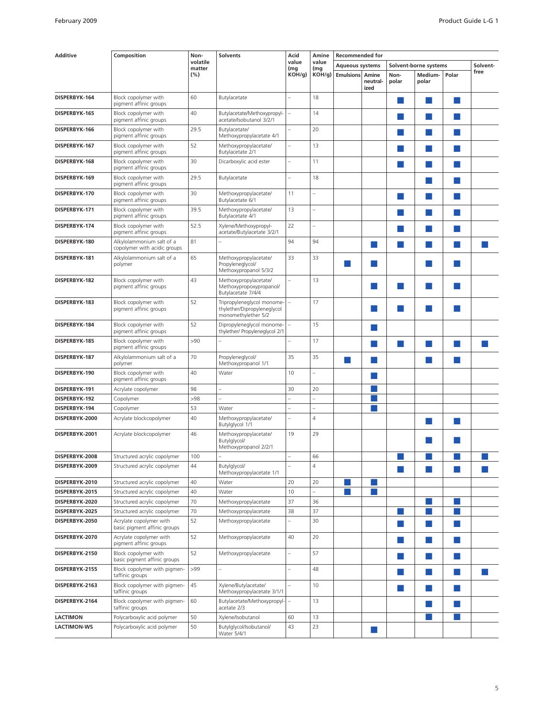| volatile<br>value<br>value<br>Solvent-<br><b>Aqueous systems</b><br>Solvent-borne systems<br>matter<br>(mg<br>(mg<br>free<br>(%)<br>KOH/g)<br>Polar<br>$KOH/g$ )<br><b>Emulsions Amine</b><br>Non-<br>Medium-<br>neutral-<br>polar<br>polar<br>ized<br>60<br>18<br>Block copolymer with<br>Butylacetate<br>DISPERBYK-164<br>pigment affinic groups<br>40<br>Block copolymer with<br>Butylacetate/Methoxypropyl-<br>14<br>DISPERBYK-165<br>pigment affinic groups<br>acetate/Isobutanol 3/2/1<br>29.5<br>Block copolymer with<br>Butylacetate/<br>20<br>DISPERBYK-166<br>pigment affinic groups<br>Methoxypropylacetate 4/1<br>Block copolymer with<br>52<br>Methoxypropylacetate/<br>13<br>DISPERBYK-167<br>×.<br>pigment affinic groups<br>Butylacetate 2/1<br>Block copolymer with<br>30<br>Dicarboxylic acid ester<br>11<br>DISPERBYK-168<br>pigment affinic groups<br>Block copolymer with<br>29.5<br>Butylacetate<br>18<br>DISPERBYK-169<br>×.<br>pigment affinic groups<br>30<br>11<br>Block copolymer with<br>Methoxypropylacetate/<br>DISPERBYK-170<br>×.<br>pigment affinic groups<br>Butylacetate 6/1<br>Methoxypropylacetate/<br>13<br>DISPERBYK-171<br>Block copolymer with<br>39.5<br>pigment affinic groups<br>Butylacetate 4/1<br>52.5<br>Xylene/Methoxypropyl-<br>22<br>Block copolymer with<br>DISPERBYK-174<br><b>Service Service</b><br>pigment affinic groups<br>acetate/Butylacetate 3/2/1<br>81<br>94<br>Alkylolammonium salt of a<br>94<br>DISPERBYK-180<br>×.<br><b>College</b><br>copolymer with acidic groups<br>65<br>33<br>Alkylolammonium salt of a<br>Methoxypropylacetate/<br>33<br>DISPERBYK-181<br><b>College</b><br>Propyleneglycol/<br>n<br>polymer<br>a s<br>Methoxypropanol 5/3/2<br>43<br>DISPERBYK-182<br>Block copolymer with<br>Methoxypropylacetate/<br>13<br>pigment affinic groups<br>Methoxypropoxypropanol/<br>Butylacetate 7/4/4<br>52<br>Tripropyleneglycol monome-<br>Block copolymer with<br>17<br>DISPERBYK-183<br>pigment affinic groups<br>thylether/Dipropyleneglycol<br>l I<br>monomethylether 5/2<br>52<br>Dipropyleneglycol monome-<br>15<br>Block copolymer with<br>DISPERBYK-184<br>pigment affinic groups<br>thylether/ Propyleneglycol 2/1<br>Block copolymer with<br>>90<br>17<br>DISPERBYK-185<br>$\overline{\phantom{0}}$<br>×<br>m.<br><b>Service Service</b><br>a l<br>pigment affinic groups<br>35<br>Alkylolammonium salt of a<br>70<br>Propyleneglycol/<br>35<br>DISPERBYK-187<br>m.<br>polymer<br>Methoxypropanol 1/1<br>Block copolymer with<br>40<br>Water<br>10<br>DISPERBYK-190<br>pigment affinic groups<br>98<br>30<br>20<br>Acrylate copolymer<br>DISPERBYK-191<br>$\overline{a}$<br>>98<br>DISPERBYK-192<br>Copolymer<br>$\overline{a}$<br>53<br>DISPERBYK-194<br>Water<br>Copolymer<br>$\overline{4}$<br>40<br>Acrylate blockcopolymer<br>Methoxypropylacetate/<br>DISPERBYK-2000<br>Butylglycol 1/1<br>19<br>Acrylate blockcopolymer<br>46<br>Methoxypropylacetate/<br>29<br>DISPERBYK-2001<br>Butylglycol/<br>Methoxypropanol 2/2/1<br>Structured acrylic copolymer<br>100<br>DISPERBYK-2008<br>66<br>$\overline{4}$<br>44<br>Structured acrylic copolymer<br>Butylglycol/<br>DISPERBYK-2009<br>a l<br>Methoxypropylacetate 1/1<br>40<br>20<br>20<br>Structured acrylic copolymer<br>DISPERBYK-2010<br>Water<br>40<br>10<br>Structured acrylic copolymer<br>Water<br>DISPERBYK-2015<br>70<br>37<br>36<br>Structured acrylic copolymer<br>Methoxypropylacetate<br>DISPERBYK-2020<br>70<br>Structured acrylic copolymer<br>Methoxypropylacetate<br>38<br>37<br>×.<br>DISPERBYK-2025<br>52<br>Acrylate copolymer with<br>Methoxypropylacetate<br>30<br>DISPERBYK-2050<br>×<br>m.<br>basic pigment affinic groups<br>52<br>40<br>Acrylate copolymer with<br>Methoxypropylacetate<br>20<br>DISPERBYK-2070<br><b>COL</b><br>×<br>pigment affinic groups<br>Block copolymer with<br>52<br>57<br>DISPERBYK-2150<br>Methoxypropylacetate<br>L<br>×.<br>m.<br>basic pigment affinic groups<br>Block copolymer with pigmen-<br>>99<br>48<br>DISPERBYK-2155<br>×<br>M<br>m.<br>taffinic groups<br>Block copolymer with pigmen-<br>45<br>Xylene/Butylacetate/<br>10<br>DISPERBYK-2163<br>×.<br>m.<br>taffinic groups<br>Methoxypropylacetate 3/1/1<br>Block copolymer with pigmen-<br>60<br>Butylacetate/Methoxypropyl-<br>13<br>DISPERBYK-2164<br>×<br><b>College</b><br>acetate 2/3<br>taffinic groups<br>Polycarboxylic acid polymer<br>50<br>Xylene/Isobutanol<br>60<br>13<br><b>LACTIMON</b><br>50<br>43<br>23<br><b>LACTIMON-WS</b><br>Polycarboxylic acid polymer<br>Butylglycol/Isobutanol/<br>m. | <b>Additive</b> | Composition | Non- | <b>Solvents</b><br>Acid |  | Amine | <b>Recommended for</b> |  |  |  |  |  |  |  |
|-------------------------------------------------------------------------------------------------------------------------------------------------------------------------------------------------------------------------------------------------------------------------------------------------------------------------------------------------------------------------------------------------------------------------------------------------------------------------------------------------------------------------------------------------------------------------------------------------------------------------------------------------------------------------------------------------------------------------------------------------------------------------------------------------------------------------------------------------------------------------------------------------------------------------------------------------------------------------------------------------------------------------------------------------------------------------------------------------------------------------------------------------------------------------------------------------------------------------------------------------------------------------------------------------------------------------------------------------------------------------------------------------------------------------------------------------------------------------------------------------------------------------------------------------------------------------------------------------------------------------------------------------------------------------------------------------------------------------------------------------------------------------------------------------------------------------------------------------------------------------------------------------------------------------------------------------------------------------------------------------------------------------------------------------------------------------------------------------------------------------------------------------------------------------------------------------------------------------------------------------------------------------------------------------------------------------------------------------------------------------------------------------------------------------------------------------------------------------------------------------------------------------------------------------------------------------------------------------------------------------------------------------------------------------------------------------------------------------------------------------------------------------------------------------------------------------------------------------------------------------------------------------------------------------------------------------------------------------------------------------------------------------------------------------------------------------------------------------------------------------------------------------------------------------------------------------------------------------------------------------------------------------------------------------------------------------------------------------------------------------------------------------------------------------------------------------------------------------------------------------------------------------------------------------------------------------------------------------------------------------------------------------------------------------------------------------------------------------------------------------------------------------------------------------------------------------------------------------------------------------------------------------------------------------------------------------------------------------------------------------------------------------------------------------------------------------------------------------------------------------------------------------------------------------------------------------------------------------------------------------------------------------------------------------------------------------------------------------------------------------------------------------------------------------------------------------------------------------------------------------------------------------------------------------------------------------------|-----------------|-------------|------|-------------------------|--|-------|------------------------|--|--|--|--|--|--|--|
|                                                                                                                                                                                                                                                                                                                                                                                                                                                                                                                                                                                                                                                                                                                                                                                                                                                                                                                                                                                                                                                                                                                                                                                                                                                                                                                                                                                                                                                                                                                                                                                                                                                                                                                                                                                                                                                                                                                                                                                                                                                                                                                                                                                                                                                                                                                                                                                                                                                                                                                                                                                                                                                                                                                                                                                                                                                                                                                                                                                                                                                                                                                                                                                                                                                                                                                                                                                                                                                                                                                                                                                                                                                                                                                                                                                                                                                                                                                                                                                                                                                                                                                                                                                                                                                                                                                                                                                                                                                                                                                                                                               |                 |             |      |                         |  |       |                        |  |  |  |  |  |  |  |
|                                                                                                                                                                                                                                                                                                                                                                                                                                                                                                                                                                                                                                                                                                                                                                                                                                                                                                                                                                                                                                                                                                                                                                                                                                                                                                                                                                                                                                                                                                                                                                                                                                                                                                                                                                                                                                                                                                                                                                                                                                                                                                                                                                                                                                                                                                                                                                                                                                                                                                                                                                                                                                                                                                                                                                                                                                                                                                                                                                                                                                                                                                                                                                                                                                                                                                                                                                                                                                                                                                                                                                                                                                                                                                                                                                                                                                                                                                                                                                                                                                                                                                                                                                                                                                                                                                                                                                                                                                                                                                                                                                               |                 |             |      |                         |  |       |                        |  |  |  |  |  |  |  |
|                                                                                                                                                                                                                                                                                                                                                                                                                                                                                                                                                                                                                                                                                                                                                                                                                                                                                                                                                                                                                                                                                                                                                                                                                                                                                                                                                                                                                                                                                                                                                                                                                                                                                                                                                                                                                                                                                                                                                                                                                                                                                                                                                                                                                                                                                                                                                                                                                                                                                                                                                                                                                                                                                                                                                                                                                                                                                                                                                                                                                                                                                                                                                                                                                                                                                                                                                                                                                                                                                                                                                                                                                                                                                                                                                                                                                                                                                                                                                                                                                                                                                                                                                                                                                                                                                                                                                                                                                                                                                                                                                                               |                 |             |      |                         |  |       |                        |  |  |  |  |  |  |  |
|                                                                                                                                                                                                                                                                                                                                                                                                                                                                                                                                                                                                                                                                                                                                                                                                                                                                                                                                                                                                                                                                                                                                                                                                                                                                                                                                                                                                                                                                                                                                                                                                                                                                                                                                                                                                                                                                                                                                                                                                                                                                                                                                                                                                                                                                                                                                                                                                                                                                                                                                                                                                                                                                                                                                                                                                                                                                                                                                                                                                                                                                                                                                                                                                                                                                                                                                                                                                                                                                                                                                                                                                                                                                                                                                                                                                                                                                                                                                                                                                                                                                                                                                                                                                                                                                                                                                                                                                                                                                                                                                                                               |                 |             |      |                         |  |       |                        |  |  |  |  |  |  |  |
|                                                                                                                                                                                                                                                                                                                                                                                                                                                                                                                                                                                                                                                                                                                                                                                                                                                                                                                                                                                                                                                                                                                                                                                                                                                                                                                                                                                                                                                                                                                                                                                                                                                                                                                                                                                                                                                                                                                                                                                                                                                                                                                                                                                                                                                                                                                                                                                                                                                                                                                                                                                                                                                                                                                                                                                                                                                                                                                                                                                                                                                                                                                                                                                                                                                                                                                                                                                                                                                                                                                                                                                                                                                                                                                                                                                                                                                                                                                                                                                                                                                                                                                                                                                                                                                                                                                                                                                                                                                                                                                                                                               |                 |             |      |                         |  |       |                        |  |  |  |  |  |  |  |
|                                                                                                                                                                                                                                                                                                                                                                                                                                                                                                                                                                                                                                                                                                                                                                                                                                                                                                                                                                                                                                                                                                                                                                                                                                                                                                                                                                                                                                                                                                                                                                                                                                                                                                                                                                                                                                                                                                                                                                                                                                                                                                                                                                                                                                                                                                                                                                                                                                                                                                                                                                                                                                                                                                                                                                                                                                                                                                                                                                                                                                                                                                                                                                                                                                                                                                                                                                                                                                                                                                                                                                                                                                                                                                                                                                                                                                                                                                                                                                                                                                                                                                                                                                                                                                                                                                                                                                                                                                                                                                                                                                               |                 |             |      |                         |  |       |                        |  |  |  |  |  |  |  |
|                                                                                                                                                                                                                                                                                                                                                                                                                                                                                                                                                                                                                                                                                                                                                                                                                                                                                                                                                                                                                                                                                                                                                                                                                                                                                                                                                                                                                                                                                                                                                                                                                                                                                                                                                                                                                                                                                                                                                                                                                                                                                                                                                                                                                                                                                                                                                                                                                                                                                                                                                                                                                                                                                                                                                                                                                                                                                                                                                                                                                                                                                                                                                                                                                                                                                                                                                                                                                                                                                                                                                                                                                                                                                                                                                                                                                                                                                                                                                                                                                                                                                                                                                                                                                                                                                                                                                                                                                                                                                                                                                                               |                 |             |      |                         |  |       |                        |  |  |  |  |  |  |  |
|                                                                                                                                                                                                                                                                                                                                                                                                                                                                                                                                                                                                                                                                                                                                                                                                                                                                                                                                                                                                                                                                                                                                                                                                                                                                                                                                                                                                                                                                                                                                                                                                                                                                                                                                                                                                                                                                                                                                                                                                                                                                                                                                                                                                                                                                                                                                                                                                                                                                                                                                                                                                                                                                                                                                                                                                                                                                                                                                                                                                                                                                                                                                                                                                                                                                                                                                                                                                                                                                                                                                                                                                                                                                                                                                                                                                                                                                                                                                                                                                                                                                                                                                                                                                                                                                                                                                                                                                                                                                                                                                                                               |                 |             |      |                         |  |       |                        |  |  |  |  |  |  |  |
|                                                                                                                                                                                                                                                                                                                                                                                                                                                                                                                                                                                                                                                                                                                                                                                                                                                                                                                                                                                                                                                                                                                                                                                                                                                                                                                                                                                                                                                                                                                                                                                                                                                                                                                                                                                                                                                                                                                                                                                                                                                                                                                                                                                                                                                                                                                                                                                                                                                                                                                                                                                                                                                                                                                                                                                                                                                                                                                                                                                                                                                                                                                                                                                                                                                                                                                                                                                                                                                                                                                                                                                                                                                                                                                                                                                                                                                                                                                                                                                                                                                                                                                                                                                                                                                                                                                                                                                                                                                                                                                                                                               |                 |             |      |                         |  |       |                        |  |  |  |  |  |  |  |
|                                                                                                                                                                                                                                                                                                                                                                                                                                                                                                                                                                                                                                                                                                                                                                                                                                                                                                                                                                                                                                                                                                                                                                                                                                                                                                                                                                                                                                                                                                                                                                                                                                                                                                                                                                                                                                                                                                                                                                                                                                                                                                                                                                                                                                                                                                                                                                                                                                                                                                                                                                                                                                                                                                                                                                                                                                                                                                                                                                                                                                                                                                                                                                                                                                                                                                                                                                                                                                                                                                                                                                                                                                                                                                                                                                                                                                                                                                                                                                                                                                                                                                                                                                                                                                                                                                                                                                                                                                                                                                                                                                               |                 |             |      |                         |  |       |                        |  |  |  |  |  |  |  |
|                                                                                                                                                                                                                                                                                                                                                                                                                                                                                                                                                                                                                                                                                                                                                                                                                                                                                                                                                                                                                                                                                                                                                                                                                                                                                                                                                                                                                                                                                                                                                                                                                                                                                                                                                                                                                                                                                                                                                                                                                                                                                                                                                                                                                                                                                                                                                                                                                                                                                                                                                                                                                                                                                                                                                                                                                                                                                                                                                                                                                                                                                                                                                                                                                                                                                                                                                                                                                                                                                                                                                                                                                                                                                                                                                                                                                                                                                                                                                                                                                                                                                                                                                                                                                                                                                                                                                                                                                                                                                                                                                                               |                 |             |      |                         |  |       |                        |  |  |  |  |  |  |  |
|                                                                                                                                                                                                                                                                                                                                                                                                                                                                                                                                                                                                                                                                                                                                                                                                                                                                                                                                                                                                                                                                                                                                                                                                                                                                                                                                                                                                                                                                                                                                                                                                                                                                                                                                                                                                                                                                                                                                                                                                                                                                                                                                                                                                                                                                                                                                                                                                                                                                                                                                                                                                                                                                                                                                                                                                                                                                                                                                                                                                                                                                                                                                                                                                                                                                                                                                                                                                                                                                                                                                                                                                                                                                                                                                                                                                                                                                                                                                                                                                                                                                                                                                                                                                                                                                                                                                                                                                                                                                                                                                                                               |                 |             |      |                         |  |       |                        |  |  |  |  |  |  |  |
|                                                                                                                                                                                                                                                                                                                                                                                                                                                                                                                                                                                                                                                                                                                                                                                                                                                                                                                                                                                                                                                                                                                                                                                                                                                                                                                                                                                                                                                                                                                                                                                                                                                                                                                                                                                                                                                                                                                                                                                                                                                                                                                                                                                                                                                                                                                                                                                                                                                                                                                                                                                                                                                                                                                                                                                                                                                                                                                                                                                                                                                                                                                                                                                                                                                                                                                                                                                                                                                                                                                                                                                                                                                                                                                                                                                                                                                                                                                                                                                                                                                                                                                                                                                                                                                                                                                                                                                                                                                                                                                                                                               |                 |             |      |                         |  |       |                        |  |  |  |  |  |  |  |
|                                                                                                                                                                                                                                                                                                                                                                                                                                                                                                                                                                                                                                                                                                                                                                                                                                                                                                                                                                                                                                                                                                                                                                                                                                                                                                                                                                                                                                                                                                                                                                                                                                                                                                                                                                                                                                                                                                                                                                                                                                                                                                                                                                                                                                                                                                                                                                                                                                                                                                                                                                                                                                                                                                                                                                                                                                                                                                                                                                                                                                                                                                                                                                                                                                                                                                                                                                                                                                                                                                                                                                                                                                                                                                                                                                                                                                                                                                                                                                                                                                                                                                                                                                                                                                                                                                                                                                                                                                                                                                                                                                               |                 |             |      |                         |  |       |                        |  |  |  |  |  |  |  |
|                                                                                                                                                                                                                                                                                                                                                                                                                                                                                                                                                                                                                                                                                                                                                                                                                                                                                                                                                                                                                                                                                                                                                                                                                                                                                                                                                                                                                                                                                                                                                                                                                                                                                                                                                                                                                                                                                                                                                                                                                                                                                                                                                                                                                                                                                                                                                                                                                                                                                                                                                                                                                                                                                                                                                                                                                                                                                                                                                                                                                                                                                                                                                                                                                                                                                                                                                                                                                                                                                                                                                                                                                                                                                                                                                                                                                                                                                                                                                                                                                                                                                                                                                                                                                                                                                                                                                                                                                                                                                                                                                                               |                 |             |      |                         |  |       |                        |  |  |  |  |  |  |  |
|                                                                                                                                                                                                                                                                                                                                                                                                                                                                                                                                                                                                                                                                                                                                                                                                                                                                                                                                                                                                                                                                                                                                                                                                                                                                                                                                                                                                                                                                                                                                                                                                                                                                                                                                                                                                                                                                                                                                                                                                                                                                                                                                                                                                                                                                                                                                                                                                                                                                                                                                                                                                                                                                                                                                                                                                                                                                                                                                                                                                                                                                                                                                                                                                                                                                                                                                                                                                                                                                                                                                                                                                                                                                                                                                                                                                                                                                                                                                                                                                                                                                                                                                                                                                                                                                                                                                                                                                                                                                                                                                                                               |                 |             |      |                         |  |       |                        |  |  |  |  |  |  |  |
|                                                                                                                                                                                                                                                                                                                                                                                                                                                                                                                                                                                                                                                                                                                                                                                                                                                                                                                                                                                                                                                                                                                                                                                                                                                                                                                                                                                                                                                                                                                                                                                                                                                                                                                                                                                                                                                                                                                                                                                                                                                                                                                                                                                                                                                                                                                                                                                                                                                                                                                                                                                                                                                                                                                                                                                                                                                                                                                                                                                                                                                                                                                                                                                                                                                                                                                                                                                                                                                                                                                                                                                                                                                                                                                                                                                                                                                                                                                                                                                                                                                                                                                                                                                                                                                                                                                                                                                                                                                                                                                                                                               |                 |             |      |                         |  |       |                        |  |  |  |  |  |  |  |
|                                                                                                                                                                                                                                                                                                                                                                                                                                                                                                                                                                                                                                                                                                                                                                                                                                                                                                                                                                                                                                                                                                                                                                                                                                                                                                                                                                                                                                                                                                                                                                                                                                                                                                                                                                                                                                                                                                                                                                                                                                                                                                                                                                                                                                                                                                                                                                                                                                                                                                                                                                                                                                                                                                                                                                                                                                                                                                                                                                                                                                                                                                                                                                                                                                                                                                                                                                                                                                                                                                                                                                                                                                                                                                                                                                                                                                                                                                                                                                                                                                                                                                                                                                                                                                                                                                                                                                                                                                                                                                                                                                               |                 |             |      |                         |  |       |                        |  |  |  |  |  |  |  |
|                                                                                                                                                                                                                                                                                                                                                                                                                                                                                                                                                                                                                                                                                                                                                                                                                                                                                                                                                                                                                                                                                                                                                                                                                                                                                                                                                                                                                                                                                                                                                                                                                                                                                                                                                                                                                                                                                                                                                                                                                                                                                                                                                                                                                                                                                                                                                                                                                                                                                                                                                                                                                                                                                                                                                                                                                                                                                                                                                                                                                                                                                                                                                                                                                                                                                                                                                                                                                                                                                                                                                                                                                                                                                                                                                                                                                                                                                                                                                                                                                                                                                                                                                                                                                                                                                                                                                                                                                                                                                                                                                                               |                 |             |      |                         |  |       |                        |  |  |  |  |  |  |  |
|                                                                                                                                                                                                                                                                                                                                                                                                                                                                                                                                                                                                                                                                                                                                                                                                                                                                                                                                                                                                                                                                                                                                                                                                                                                                                                                                                                                                                                                                                                                                                                                                                                                                                                                                                                                                                                                                                                                                                                                                                                                                                                                                                                                                                                                                                                                                                                                                                                                                                                                                                                                                                                                                                                                                                                                                                                                                                                                                                                                                                                                                                                                                                                                                                                                                                                                                                                                                                                                                                                                                                                                                                                                                                                                                                                                                                                                                                                                                                                                                                                                                                                                                                                                                                                                                                                                                                                                                                                                                                                                                                                               |                 |             |      |                         |  |       |                        |  |  |  |  |  |  |  |
|                                                                                                                                                                                                                                                                                                                                                                                                                                                                                                                                                                                                                                                                                                                                                                                                                                                                                                                                                                                                                                                                                                                                                                                                                                                                                                                                                                                                                                                                                                                                                                                                                                                                                                                                                                                                                                                                                                                                                                                                                                                                                                                                                                                                                                                                                                                                                                                                                                                                                                                                                                                                                                                                                                                                                                                                                                                                                                                                                                                                                                                                                                                                                                                                                                                                                                                                                                                                                                                                                                                                                                                                                                                                                                                                                                                                                                                                                                                                                                                                                                                                                                                                                                                                                                                                                                                                                                                                                                                                                                                                                                               |                 |             |      |                         |  |       |                        |  |  |  |  |  |  |  |
|                                                                                                                                                                                                                                                                                                                                                                                                                                                                                                                                                                                                                                                                                                                                                                                                                                                                                                                                                                                                                                                                                                                                                                                                                                                                                                                                                                                                                                                                                                                                                                                                                                                                                                                                                                                                                                                                                                                                                                                                                                                                                                                                                                                                                                                                                                                                                                                                                                                                                                                                                                                                                                                                                                                                                                                                                                                                                                                                                                                                                                                                                                                                                                                                                                                                                                                                                                                                                                                                                                                                                                                                                                                                                                                                                                                                                                                                                                                                                                                                                                                                                                                                                                                                                                                                                                                                                                                                                                                                                                                                                                               |                 |             |      |                         |  |       |                        |  |  |  |  |  |  |  |
|                                                                                                                                                                                                                                                                                                                                                                                                                                                                                                                                                                                                                                                                                                                                                                                                                                                                                                                                                                                                                                                                                                                                                                                                                                                                                                                                                                                                                                                                                                                                                                                                                                                                                                                                                                                                                                                                                                                                                                                                                                                                                                                                                                                                                                                                                                                                                                                                                                                                                                                                                                                                                                                                                                                                                                                                                                                                                                                                                                                                                                                                                                                                                                                                                                                                                                                                                                                                                                                                                                                                                                                                                                                                                                                                                                                                                                                                                                                                                                                                                                                                                                                                                                                                                                                                                                                                                                                                                                                                                                                                                                               |                 |             |      |                         |  |       |                        |  |  |  |  |  |  |  |
|                                                                                                                                                                                                                                                                                                                                                                                                                                                                                                                                                                                                                                                                                                                                                                                                                                                                                                                                                                                                                                                                                                                                                                                                                                                                                                                                                                                                                                                                                                                                                                                                                                                                                                                                                                                                                                                                                                                                                                                                                                                                                                                                                                                                                                                                                                                                                                                                                                                                                                                                                                                                                                                                                                                                                                                                                                                                                                                                                                                                                                                                                                                                                                                                                                                                                                                                                                                                                                                                                                                                                                                                                                                                                                                                                                                                                                                                                                                                                                                                                                                                                                                                                                                                                                                                                                                                                                                                                                                                                                                                                                               |                 |             |      |                         |  |       |                        |  |  |  |  |  |  |  |
|                                                                                                                                                                                                                                                                                                                                                                                                                                                                                                                                                                                                                                                                                                                                                                                                                                                                                                                                                                                                                                                                                                                                                                                                                                                                                                                                                                                                                                                                                                                                                                                                                                                                                                                                                                                                                                                                                                                                                                                                                                                                                                                                                                                                                                                                                                                                                                                                                                                                                                                                                                                                                                                                                                                                                                                                                                                                                                                                                                                                                                                                                                                                                                                                                                                                                                                                                                                                                                                                                                                                                                                                                                                                                                                                                                                                                                                                                                                                                                                                                                                                                                                                                                                                                                                                                                                                                                                                                                                                                                                                                                               |                 |             |      |                         |  |       |                        |  |  |  |  |  |  |  |
|                                                                                                                                                                                                                                                                                                                                                                                                                                                                                                                                                                                                                                                                                                                                                                                                                                                                                                                                                                                                                                                                                                                                                                                                                                                                                                                                                                                                                                                                                                                                                                                                                                                                                                                                                                                                                                                                                                                                                                                                                                                                                                                                                                                                                                                                                                                                                                                                                                                                                                                                                                                                                                                                                                                                                                                                                                                                                                                                                                                                                                                                                                                                                                                                                                                                                                                                                                                                                                                                                                                                                                                                                                                                                                                                                                                                                                                                                                                                                                                                                                                                                                                                                                                                                                                                                                                                                                                                                                                                                                                                                                               |                 |             |      |                         |  |       |                        |  |  |  |  |  |  |  |
|                                                                                                                                                                                                                                                                                                                                                                                                                                                                                                                                                                                                                                                                                                                                                                                                                                                                                                                                                                                                                                                                                                                                                                                                                                                                                                                                                                                                                                                                                                                                                                                                                                                                                                                                                                                                                                                                                                                                                                                                                                                                                                                                                                                                                                                                                                                                                                                                                                                                                                                                                                                                                                                                                                                                                                                                                                                                                                                                                                                                                                                                                                                                                                                                                                                                                                                                                                                                                                                                                                                                                                                                                                                                                                                                                                                                                                                                                                                                                                                                                                                                                                                                                                                                                                                                                                                                                                                                                                                                                                                                                                               |                 |             |      |                         |  |       |                        |  |  |  |  |  |  |  |
|                                                                                                                                                                                                                                                                                                                                                                                                                                                                                                                                                                                                                                                                                                                                                                                                                                                                                                                                                                                                                                                                                                                                                                                                                                                                                                                                                                                                                                                                                                                                                                                                                                                                                                                                                                                                                                                                                                                                                                                                                                                                                                                                                                                                                                                                                                                                                                                                                                                                                                                                                                                                                                                                                                                                                                                                                                                                                                                                                                                                                                                                                                                                                                                                                                                                                                                                                                                                                                                                                                                                                                                                                                                                                                                                                                                                                                                                                                                                                                                                                                                                                                                                                                                                                                                                                                                                                                                                                                                                                                                                                                               |                 |             |      |                         |  |       |                        |  |  |  |  |  |  |  |
|                                                                                                                                                                                                                                                                                                                                                                                                                                                                                                                                                                                                                                                                                                                                                                                                                                                                                                                                                                                                                                                                                                                                                                                                                                                                                                                                                                                                                                                                                                                                                                                                                                                                                                                                                                                                                                                                                                                                                                                                                                                                                                                                                                                                                                                                                                                                                                                                                                                                                                                                                                                                                                                                                                                                                                                                                                                                                                                                                                                                                                                                                                                                                                                                                                                                                                                                                                                                                                                                                                                                                                                                                                                                                                                                                                                                                                                                                                                                                                                                                                                                                                                                                                                                                                                                                                                                                                                                                                                                                                                                                                               |                 |             |      |                         |  |       |                        |  |  |  |  |  |  |  |
|                                                                                                                                                                                                                                                                                                                                                                                                                                                                                                                                                                                                                                                                                                                                                                                                                                                                                                                                                                                                                                                                                                                                                                                                                                                                                                                                                                                                                                                                                                                                                                                                                                                                                                                                                                                                                                                                                                                                                                                                                                                                                                                                                                                                                                                                                                                                                                                                                                                                                                                                                                                                                                                                                                                                                                                                                                                                                                                                                                                                                                                                                                                                                                                                                                                                                                                                                                                                                                                                                                                                                                                                                                                                                                                                                                                                                                                                                                                                                                                                                                                                                                                                                                                                                                                                                                                                                                                                                                                                                                                                                                               |                 |             |      |                         |  |       |                        |  |  |  |  |  |  |  |
|                                                                                                                                                                                                                                                                                                                                                                                                                                                                                                                                                                                                                                                                                                                                                                                                                                                                                                                                                                                                                                                                                                                                                                                                                                                                                                                                                                                                                                                                                                                                                                                                                                                                                                                                                                                                                                                                                                                                                                                                                                                                                                                                                                                                                                                                                                                                                                                                                                                                                                                                                                                                                                                                                                                                                                                                                                                                                                                                                                                                                                                                                                                                                                                                                                                                                                                                                                                                                                                                                                                                                                                                                                                                                                                                                                                                                                                                                                                                                                                                                                                                                                                                                                                                                                                                                                                                                                                                                                                                                                                                                                               |                 |             |      |                         |  |       |                        |  |  |  |  |  |  |  |
|                                                                                                                                                                                                                                                                                                                                                                                                                                                                                                                                                                                                                                                                                                                                                                                                                                                                                                                                                                                                                                                                                                                                                                                                                                                                                                                                                                                                                                                                                                                                                                                                                                                                                                                                                                                                                                                                                                                                                                                                                                                                                                                                                                                                                                                                                                                                                                                                                                                                                                                                                                                                                                                                                                                                                                                                                                                                                                                                                                                                                                                                                                                                                                                                                                                                                                                                                                                                                                                                                                                                                                                                                                                                                                                                                                                                                                                                                                                                                                                                                                                                                                                                                                                                                                                                                                                                                                                                                                                                                                                                                                               |                 |             |      |                         |  |       |                        |  |  |  |  |  |  |  |
|                                                                                                                                                                                                                                                                                                                                                                                                                                                                                                                                                                                                                                                                                                                                                                                                                                                                                                                                                                                                                                                                                                                                                                                                                                                                                                                                                                                                                                                                                                                                                                                                                                                                                                                                                                                                                                                                                                                                                                                                                                                                                                                                                                                                                                                                                                                                                                                                                                                                                                                                                                                                                                                                                                                                                                                                                                                                                                                                                                                                                                                                                                                                                                                                                                                                                                                                                                                                                                                                                                                                                                                                                                                                                                                                                                                                                                                                                                                                                                                                                                                                                                                                                                                                                                                                                                                                                                                                                                                                                                                                                                               |                 |             |      |                         |  |       |                        |  |  |  |  |  |  |  |
|                                                                                                                                                                                                                                                                                                                                                                                                                                                                                                                                                                                                                                                                                                                                                                                                                                                                                                                                                                                                                                                                                                                                                                                                                                                                                                                                                                                                                                                                                                                                                                                                                                                                                                                                                                                                                                                                                                                                                                                                                                                                                                                                                                                                                                                                                                                                                                                                                                                                                                                                                                                                                                                                                                                                                                                                                                                                                                                                                                                                                                                                                                                                                                                                                                                                                                                                                                                                                                                                                                                                                                                                                                                                                                                                                                                                                                                                                                                                                                                                                                                                                                                                                                                                                                                                                                                                                                                                                                                                                                                                                                               |                 |             |      |                         |  |       |                        |  |  |  |  |  |  |  |
|                                                                                                                                                                                                                                                                                                                                                                                                                                                                                                                                                                                                                                                                                                                                                                                                                                                                                                                                                                                                                                                                                                                                                                                                                                                                                                                                                                                                                                                                                                                                                                                                                                                                                                                                                                                                                                                                                                                                                                                                                                                                                                                                                                                                                                                                                                                                                                                                                                                                                                                                                                                                                                                                                                                                                                                                                                                                                                                                                                                                                                                                                                                                                                                                                                                                                                                                                                                                                                                                                                                                                                                                                                                                                                                                                                                                                                                                                                                                                                                                                                                                                                                                                                                                                                                                                                                                                                                                                                                                                                                                                                               |                 |             |      |                         |  |       |                        |  |  |  |  |  |  |  |
|                                                                                                                                                                                                                                                                                                                                                                                                                                                                                                                                                                                                                                                                                                                                                                                                                                                                                                                                                                                                                                                                                                                                                                                                                                                                                                                                                                                                                                                                                                                                                                                                                                                                                                                                                                                                                                                                                                                                                                                                                                                                                                                                                                                                                                                                                                                                                                                                                                                                                                                                                                                                                                                                                                                                                                                                                                                                                                                                                                                                                                                                                                                                                                                                                                                                                                                                                                                                                                                                                                                                                                                                                                                                                                                                                                                                                                                                                                                                                                                                                                                                                                                                                                                                                                                                                                                                                                                                                                                                                                                                                                               |                 |             |      |                         |  |       |                        |  |  |  |  |  |  |  |
|                                                                                                                                                                                                                                                                                                                                                                                                                                                                                                                                                                                                                                                                                                                                                                                                                                                                                                                                                                                                                                                                                                                                                                                                                                                                                                                                                                                                                                                                                                                                                                                                                                                                                                                                                                                                                                                                                                                                                                                                                                                                                                                                                                                                                                                                                                                                                                                                                                                                                                                                                                                                                                                                                                                                                                                                                                                                                                                                                                                                                                                                                                                                                                                                                                                                                                                                                                                                                                                                                                                                                                                                                                                                                                                                                                                                                                                                                                                                                                                                                                                                                                                                                                                                                                                                                                                                                                                                                                                                                                                                                                               |                 |             |      |                         |  |       |                        |  |  |  |  |  |  |  |
|                                                                                                                                                                                                                                                                                                                                                                                                                                                                                                                                                                                                                                                                                                                                                                                                                                                                                                                                                                                                                                                                                                                                                                                                                                                                                                                                                                                                                                                                                                                                                                                                                                                                                                                                                                                                                                                                                                                                                                                                                                                                                                                                                                                                                                                                                                                                                                                                                                                                                                                                                                                                                                                                                                                                                                                                                                                                                                                                                                                                                                                                                                                                                                                                                                                                                                                                                                                                                                                                                                                                                                                                                                                                                                                                                                                                                                                                                                                                                                                                                                                                                                                                                                                                                                                                                                                                                                                                                                                                                                                                                                               |                 |             |      | Water 5/4/1             |  |       |                        |  |  |  |  |  |  |  |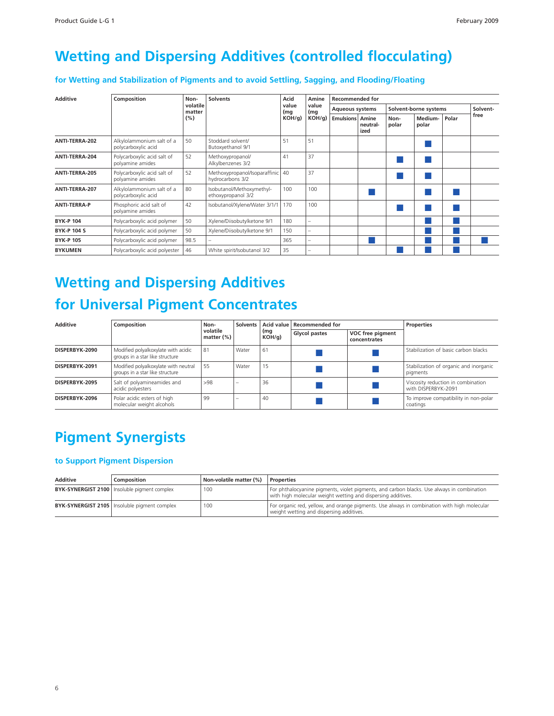#### <span id="page-4-0"></span>**Wetting and Dispersing Additives (controlled flocculating)**

**for Wetting and Stabilization of Pigments and to avoid Settling, Sagging, and Flooding/Floating**

| <b>Additive</b>     | Composition                                      | Non-               | <b>Solvents</b>                                        | Acid         | Amine         | <b>Recommended for</b> |                           |               |                       |       |          |  |  |
|---------------------|--------------------------------------------------|--------------------|--------------------------------------------------------|--------------|---------------|------------------------|---------------------------|---------------|-----------------------|-------|----------|--|--|
|                     |                                                  | volatile<br>matter |                                                        | value<br>(mg | value<br>(mg) | <b>Aqueous systems</b> |                           |               | Solvent-borne systems |       | Solvent- |  |  |
|                     |                                                  | (%)                |                                                        | $KOH/g$ )    | $KOH/g$ )     | <b>Emulsions</b>       | Amine<br>neutral-<br>ized | Non-<br>polar | Medium-<br>polar      | Polar | free     |  |  |
| ANTI-TERRA-202      | Alkylolammonium salt of a<br>polycarboxylic acid | 50                 | Stoddard solvent/<br>Butoxyethanol 9/1                 | 51           | 51            |                        |                           |               |                       |       |          |  |  |
| ANTI-TERRA-204      | Polycarboxylic acid salt of<br>polyamine amides  | 52                 | Methoxypropanol/<br>Alkylbenzenes 3/2                  | 41           | 37            |                        |                           |               |                       |       |          |  |  |
| ANTI-TERRA-205      | Polycarboxylic acid salt of<br>polyamine amides  | 52                 | Methoxypropanol/Isoparaffinic   40<br>hydrocarbons 3/2 |              | 37            |                        |                           |               |                       |       |          |  |  |
| ANTI-TERRA-207      | Alkylolammonium salt of a<br>polycarboxylic acid | 80                 | Isobutanol/Methoxymethyl-<br>ethoxypropanol 3/2        | 100          | 100           |                        |                           |               |                       |       |          |  |  |
| <b>ANTI-TERRA-P</b> | Phosphoric acid salt of<br>polyamine amides      | 42                 | Isobutanol/Xylene/Water 3/1/1                          | 170          | 100           |                        |                           |               |                       |       |          |  |  |
| <b>BYK-P 104</b>    | Polycarboxylic acid polymer                      | 50                 | Xylene/Diisobutylketone 9/1                            | 180          |               |                        |                           |               |                       |       |          |  |  |
| <b>BYK-P 104 S</b>  | Polycarboxylic acid polymer                      | 50                 | Xylene/Diisobutylketone 9/1                            | 150          |               |                        |                           |               |                       |       |          |  |  |
| <b>BYK-P 105</b>    | Polycarboxylic acid polymer                      | 98.5               |                                                        | 365          |               |                        |                           |               |                       |       |          |  |  |
| <b>BYKUMEN</b>      | Polycarboxylic acid polyester                    | 46                 | White spirit/Isobutanol 3/2                            | 35           |               |                        |                           |               |                       |       |          |  |  |

## **Wetting and Dispersing Additives for Universal Pigment Concentrates**

| <b>Additive</b> | Composition                                                             | Non-                      | <b>Solvents</b> |              | Acid value   Recommended for |                                  | <b>Properties</b>                                         |  |  |
|-----------------|-------------------------------------------------------------------------|---------------------------|-----------------|--------------|------------------------------|----------------------------------|-----------------------------------------------------------|--|--|
|                 |                                                                         | volatile<br>matter $(\%)$ |                 | (mg<br>KOH/q | <b>Glycol pastes</b>         | VOC free pigment<br>concentrates |                                                           |  |  |
| DISPERBYK-2090  | Modified polyalkoxylate with acidic<br>groups in a star like structure  | 81                        | Water           | 61           |                              |                                  | Stabilization of basic carbon blacks                      |  |  |
| DISPERBYK-2091  | Modified polyalkoxylate with neutral<br>groups in a star like structure | 55                        | Water           | 15           |                              |                                  | Stabilization of organic and inorganic<br>pigments        |  |  |
| DISPERBYK-2095  | Salt of polyamineamides and<br>acidic polyesters                        | >98                       |                 | 36           |                              |                                  | Viscosity reduction in combination<br>with DISPERBYK-2091 |  |  |
| DISPERBYK-2096  | Polar acidic esters of high<br>molecular weight alcohols                | 99                        |                 | 40           |                              |                                  | To improve compatibility in non-polar<br>coatings         |  |  |

### **Pigment Synergists**

#### **to Support Pigment Dispersion**

| Additive | Composition                                           | Non-volatile matter (%) | Properties                                                                                                                                                 |
|----------|-------------------------------------------------------|-------------------------|------------------------------------------------------------------------------------------------------------------------------------------------------------|
|          | <b>BYK-SYNERGIST 2100</b>   Insoluble pigment complex | 100                     | For phthalocyanine pigments, violet pigments, and carbon blacks. Use always in combination<br>with high molecular weight wetting and dispersing additives. |
|          | <b>BYK-SYNERGIST 2105</b> Insoluble pigment complex   | 100                     | For organic red, yellow, and orange pigments. Use always in combination with high molecular<br>weight wetting and dispersing additives.                    |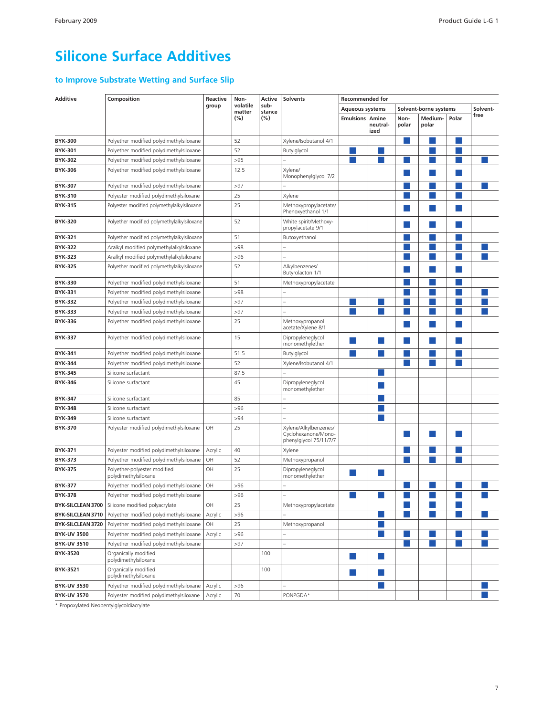#### <span id="page-5-0"></span>**Silicone Surface Additives**

#### **to Improve Substrate Wetting and Surface Slip**

| <b>Additive</b>          | Composition                                          | Reactive | Non-               | Active         | <b>Solvents</b>                                                        | <b>Recommended for</b> |                  |               |                       |       |          |
|--------------------------|------------------------------------------------------|----------|--------------------|----------------|------------------------------------------------------------------------|------------------------|------------------|---------------|-----------------------|-------|----------|
|                          |                                                      | group    | volatile<br>matter | sub-<br>stance |                                                                        | Aqueous systems        |                  |               | Solvent-borne systems |       | Solvent- |
|                          |                                                      |          | (%)                | (%)            |                                                                        | <b>Emulsions Amine</b> | neutral-<br>ized | Non-<br>polar | Medium-<br>polar      | Polar | free     |
| <b>BYK-300</b>           | Polyether modified polydimethylsiloxane              |          | 52                 |                | Xylene/Isobutanol 4/1                                                  |                        |                  |               |                       |       |          |
| <b>BYK-301</b>           | Polyether modified polydimethylsiloxane              |          | 52                 |                | Butylglycol                                                            |                        |                  |               |                       |       |          |
| <b>BYK-302</b>           | Polyether modified polydimethylsiloxane              |          | >95                |                |                                                                        |                        |                  |               |                       |       |          |
| <b>BYK-306</b>           | Polyether modified polydimethylsiloxane              |          | 12.5               |                | Xylene/                                                                |                        |                  |               |                       |       |          |
|                          |                                                      |          |                    |                | Monophenylglycol 7/2                                                   |                        |                  |               |                       |       |          |
| <b>BYK-307</b>           | Polyether modified polydimethylsiloxane              |          | >97                |                |                                                                        |                        |                  |               |                       |       |          |
| <b>BYK-310</b>           | Polyester modified polydimethylsiloxane              |          | 25                 |                | Xylene                                                                 |                        |                  |               |                       |       |          |
| <b>BYK-315</b>           | Polyester modified polymethylalkylsiloxane           |          | 25                 |                | Methoxypropylacetate/<br>Phenoxyethanol 1/1                            |                        |                  |               |                       |       |          |
| <b>BYK-320</b>           | Polyether modified polymethylalkylsiloxane           |          | 52                 |                | White spirit/Methoxy-<br>propylacetate 9/1                             |                        |                  |               |                       |       |          |
| <b>BYK-321</b>           | Polyether modified polymethylalkylsiloxane           |          | 51                 |                | Butoxyethanol                                                          |                        |                  |               |                       |       |          |
| <b>BYK-322</b>           | Aralkyl modified polymethylalkylsiloxane             |          | >98                |                |                                                                        |                        |                  |               |                       |       |          |
| <b>BYK-323</b>           | Aralkyl modified polymethylalkylsiloxane             |          | >96                |                |                                                                        |                        |                  |               |                       |       |          |
| <b>BYK-325</b>           | Polyether modified polymethylalkylsiloxane           |          | 52                 |                | Alkylbenzenes/<br>Butyrolacton 1/1                                     |                        |                  |               |                       |       |          |
| <b>BYK-330</b>           | Polyether modified polydimethylsiloxane              |          | 51                 |                | Methoxypropylacetate                                                   |                        |                  |               |                       |       |          |
| <b>BYK-331</b>           | Polyether modified polydimethylsiloxane              |          | >98                |                |                                                                        |                        |                  |               |                       |       |          |
| <b>BYK-332</b>           | Polyether modified polydimethylsiloxane              |          | >97                |                |                                                                        |                        |                  |               |                       |       |          |
| <b>BYK-333</b>           | Polyether modified polydimethylsiloxane              |          | >97                |                |                                                                        |                        |                  |               |                       |       |          |
| <b>BYK-336</b>           | Polyether modified polydimethylsiloxane              |          | 25                 |                | Methoxypropanol<br>acetate/Xylene 8/1                                  |                        |                  |               |                       |       |          |
| <b>BYK-337</b>           | Polyether modified polydimethylsiloxane              |          | 15                 |                | Dipropyleneglycol<br>monomethylether                                   |                        |                  |               |                       |       |          |
| <b>BYK-341</b>           | Polyether modified polydimethylsiloxane              |          | 51.5               |                | Butylglycol                                                            |                        |                  |               |                       |       |          |
| <b>BYK-344</b>           | Polyether modified polydimethylsiloxane              |          | 52                 |                | Xylene/Isobutanol 4/1                                                  |                        |                  |               |                       |       |          |
| <b>BYK-345</b>           | Silicone surfactant                                  |          | 87.5               |                |                                                                        |                        |                  |               |                       |       |          |
| <b>BYK-346</b>           | Silicone surfactant                                  |          | 45                 |                | Dipropyleneglycol<br>monomethylether                                   |                        |                  |               |                       |       |          |
| <b>BYK-347</b>           | Silicone surfactant                                  |          | 85                 |                |                                                                        |                        |                  |               |                       |       |          |
| <b>BYK-348</b>           | Silicone surfactant                                  |          | >96                |                |                                                                        |                        |                  |               |                       |       |          |
| <b>BYK-349</b>           | Silicone surfactant                                  |          | >94                |                |                                                                        |                        |                  |               |                       |       |          |
| <b>BYK-370</b>           | Polyester modified polydimethylsiloxane              | OH       | 25                 |                | Xylene/Alkylbenzenes/<br>Cyclohexanone/Mono-<br>phenylglycol 75/11/7/7 |                        |                  |               |                       |       |          |
| <b>BYK-371</b>           | Polyester modified polydimethylsiloxane              | Acrylic  | 40                 |                | Xylene                                                                 |                        |                  |               |                       |       |          |
| <b>BYK-373</b>           | Polyether modified polydimethylsiloxane              | OH       | 52                 |                | Methoxypropanol                                                        |                        |                  |               |                       |       |          |
| <b>BYK-375</b>           | Polyether-polyester modified<br>polydimethylsiloxane | OH       | 25                 |                | Dipropyleneglycol<br>monomethylether                                   |                        |                  |               |                       |       |          |
| <b>BYK-377</b>           | Polyether modified polydimethylsiloxane              | OH       | >96                |                |                                                                        |                        |                  |               |                       |       |          |
| <b>BYK-378</b>           | Polyether modified polydimethylsiloxane              |          | >96                |                |                                                                        |                        |                  |               |                       |       |          |
| BYK-SILCLEAN 3700        | Silicone modified polyacrylate                       | OH       | 25                 |                | Methoxypropylacetate                                                   |                        |                  |               |                       |       |          |
| BYK-SILCLEAN 3710        | Polyether modified polydimethylsiloxane              | Acrylic  | >96                |                |                                                                        |                        |                  |               |                       |       |          |
| <b>BYK-SILCLEAN 3720</b> | Polyether modified polydimethylsiloxane              | OH       | 25                 |                | Methoxypropanol                                                        |                        |                  |               |                       |       |          |
| <b>BYK-UV 3500</b>       | Polyether modified polydimethylsiloxane              | Acrylic  | >96                |                |                                                                        |                        |                  |               |                       |       |          |
| <b>BYK-UV 3510</b>       | Polyether modified polydimethylsiloxane              |          | >97                |                |                                                                        |                        |                  |               |                       |       |          |
| BYK-3520                 | Organically modified<br>polydimethylsiloxane         |          |                    | 100            |                                                                        | m.                     | l a              |               |                       |       |          |
| BYK-3521                 | Organically modified<br>polydimethylsiloxane         |          |                    | 100            |                                                                        | ×                      | l a              |               |                       |       |          |
| <b>BYK-UV 3530</b>       | Polyether modified polydimethylsiloxane              | Acrylic  | >96                |                |                                                                        |                        |                  |               |                       |       |          |
| <b>BYK-UV 3570</b>       | Polyester modified polydimethylsiloxane              | Acrylic  | 70                 |                | PONPGDA*                                                               |                        |                  |               |                       |       |          |

\* Propoxylated Neopentylglycoldiacrylate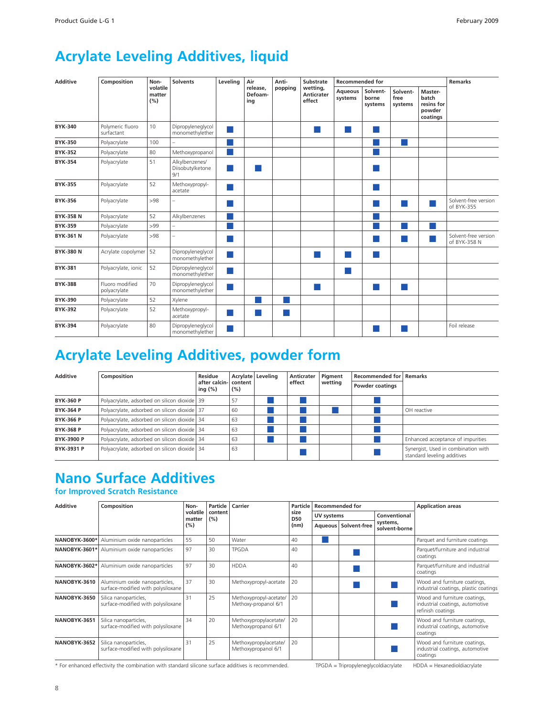#### <span id="page-6-0"></span>**Acrylate Leveling Additives, liquid**

| <b>Additive</b>  | Composition                     | Non-                      | <b>Solvents</b>                           | Leveling                                                                                                       | Air                        | Anti-   | Substrate<br>wetting,<br>Anticrater<br>effect | <b>Recommended for</b>    |                              |                             | <b>Remarks</b>                                       |                                      |
|------------------|---------------------------------|---------------------------|-------------------------------------------|----------------------------------------------------------------------------------------------------------------|----------------------------|---------|-----------------------------------------------|---------------------------|------------------------------|-----------------------------|------------------------------------------------------|--------------------------------------|
|                  |                                 | volatile<br>matter<br>(%) |                                           |                                                                                                                | release.<br>Defoam-<br>ing | popping |                                               | <b>Aqueous</b><br>systems | Solvent-<br>borne<br>systems | Solvent-<br>free<br>systems | Master-<br>batch<br>resins for<br>powder<br>coatings |                                      |
| <b>BYK-340</b>   | Polymeric fluoro<br>surfactant  | 10                        | Dipropyleneglycol<br>monomethylether      |                                                                                                                |                            |         | ٠                                             | ×                         |                              |                             |                                                      |                                      |
| <b>BYK-350</b>   | Polyacrylate                    | 100                       |                                           |                                                                                                                |                            |         |                                               |                           |                              |                             |                                                      |                                      |
| <b>BYK-352</b>   | Polyacrylate                    | 80                        | Methoxypropanol                           | <b>Service Service</b>                                                                                         |                            |         |                                               |                           |                              |                             |                                                      |                                      |
| <b>BYK-354</b>   | Polyacrylate                    | 51                        | Alkylbenzenes/<br>Diisobutylketone<br>9/1 | m.                                                                                                             | . .                        |         |                                               |                           |                              |                             |                                                      |                                      |
| <b>BYK-355</b>   | Polyacrylate                    | 52                        | Methoxypropyl-<br>acetate                 |                                                                                                                |                            |         |                                               |                           |                              |                             |                                                      |                                      |
| <b>BYK-356</b>   | Polyacrylate                    | >98                       |                                           | and the state of the state of the state of the state of the state of the state of the state of the state of th |                            |         |                                               |                           |                              | <b>Service Service</b>      |                                                      | Solvent-free version<br>of BYK-355   |
| <b>BYK-358 N</b> | Polyacrylate                    | 52                        | Alkylbenzenes                             |                                                                                                                |                            |         |                                               |                           |                              |                             |                                                      |                                      |
| <b>BYK-359</b>   | Polyacrylate                    | >99                       |                                           |                                                                                                                |                            |         |                                               |                           |                              |                             |                                                      |                                      |
| <b>BYK-361 N</b> | Polyacrylate                    | >98                       |                                           | <b>Service Service</b>                                                                                         |                            |         |                                               |                           |                              |                             |                                                      | Solvent-free version<br>of BYK-358 N |
| <b>BYK-380 N</b> | Acrylate copolymer   52         |                           | Dipropyleneglycol<br>monomethylether      |                                                                                                                |                            |         |                                               | a.                        |                              |                             |                                                      |                                      |
| <b>BYK-381</b>   | Polyacrylate, ionic             | 52                        | Dipropyleneglycol<br>monomethylether      |                                                                                                                |                            |         |                                               | ×                         |                              |                             |                                                      |                                      |
| <b>BYK-388</b>   | Fluoro modified<br>polyacrylate | 70                        | Dipropyleneglycol<br>monomethylether      |                                                                                                                |                            |         |                                               |                           |                              |                             |                                                      |                                      |
| <b>BYK-390</b>   | Polyacrylate                    | 52                        | Xylene                                    |                                                                                                                |                            |         |                                               |                           |                              |                             |                                                      |                                      |
| <b>BYK-392</b>   | Polyacrylate                    | 52                        | Methoxypropyl-<br>acetate                 | ×.                                                                                                             | ×.                         | - 1     |                                               |                           |                              |                             |                                                      |                                      |
| <b>BYK-394</b>   | Polyacrylate                    | 80                        | Dipropyleneglycol<br>monomethylether      | ×.                                                                                                             |                            |         |                                               |                           |                              |                             |                                                      | Foil release                         |

## **Acrylate Leveling Additives, powder form**

| <b>Additive</b>   | Composition                                  | Residue<br>after calcin- content<br>ing $(\%)$ | (%) | Acrylate Leveling | Anticrater<br>effect | Pigment<br>wetting | Recommended for Remarks<br><b>Powder coatings</b> |                                                                    |
|-------------------|----------------------------------------------|------------------------------------------------|-----|-------------------|----------------------|--------------------|---------------------------------------------------|--------------------------------------------------------------------|
| <b>BYK-360 P</b>  | Polyacrylate, adsorbed on silicon dioxide 39 |                                                | 57  |                   |                      |                    |                                                   |                                                                    |
| <b>BYK-364 P</b>  | Polyacrylate, adsorbed on silicon dioxide 37 |                                                | 60  |                   |                      |                    |                                                   | OH reactive                                                        |
| <b>BYK-366 P</b>  | Polyacrylate, adsorbed on silicon dioxide 34 |                                                | 63  |                   |                      |                    |                                                   |                                                                    |
| <b>BYK-368 P</b>  | Polyacrylate, adsorbed on silicon dioxide 34 |                                                | 63  |                   |                      |                    |                                                   |                                                                    |
| <b>BYK-3900 P</b> | Polyacrylate, adsorbed on silicon dioxide 34 |                                                | 63  |                   |                      |                    |                                                   | Enhanced acceptance of impurities                                  |
| BYK-3931 P        | Polyacrylate, adsorbed on silicon dioxide 34 |                                                | 63  |                   |                      |                    |                                                   | Synergist, Used in combination with<br>standard leveling additives |

#### **Nano Surface Additives**

#### **for Improved Scratch Resistance**

| <b>Additive</b> | Composition                                                          | Non-               | Particle       | Carrier                                        | Particle           | <b>Recommended for</b> |                        |                           | <b>Application areas</b>                                                             |  |
|-----------------|----------------------------------------------------------------------|--------------------|----------------|------------------------------------------------|--------------------|------------------------|------------------------|---------------------------|--------------------------------------------------------------------------------------|--|
|                 |                                                                      | volatile<br>matter | content<br>(%) |                                                | size<br><b>D50</b> | UV systems             |                        | Conventional              |                                                                                      |  |
|                 |                                                                      | (%)                |                |                                                | (nm)               |                        | Aqueous   Solvent-free | systems,<br>solvent-borne |                                                                                      |  |
| NANOBYK-3600*   | Aluminium oxide nanoparticles                                        | 55                 | 50             | Water                                          | 40                 |                        |                        |                           | Parquet and furniture coatings                                                       |  |
|                 | <b>NANOBYK-3601*</b> Aluminium oxide nanoparticles                   | 97                 | 30             | <b>TPGDA</b>                                   | 40                 |                        |                        |                           | Parquet/furniture and industrial<br>coatings                                         |  |
| NANOBYK-3602*   | Aluminium oxide nanoparticles                                        | 97                 | 30             | <b>HDDA</b>                                    | 40                 |                        |                        |                           | Parquet/furniture and industrial<br>coatings                                         |  |
| NANOBYK-3610    | Aluminium oxide nanoparticles,<br>surface-modified with polysiloxane | 37                 | 30             | Methoxypropyl-acetate                          | 20                 |                        |                        |                           | Wood and furniture coatings,<br>industrial coatings, plastic coatings                |  |
| NANOBYK-3650    | Silica nanoparticles,<br>surface-modified with polysiloxane          | 31                 | 25             | Methoxypropyl-acetate/<br>Methoxy-propanol 6/1 | 20                 |                        |                        |                           | Wood and furniture coatings,<br>industrial coatings, automotive<br>refinish coatings |  |
| NANOBYK-3651    | Silica nanoparticles,<br>surface-modified with polysiloxane          | 34                 | 20             | Methoxypropylacetate/<br>Methoxypropanol 6/1   | 20                 |                        |                        |                           | Wood and furniture coatings,<br>industrial coatings, automotive<br>coatings          |  |
| NANOBYK-3652    | Silica nanoparticles,<br>surface-modified with polysiloxane          | 31                 | 25             | Methoxypropylacetate/<br>Methoxypropanol 6/1   | 20                 |                        |                        |                           | Wood and furniture coatings,<br>industrial coatings, automotive<br>coatings          |  |

\* For enhanced effectivity the combination with standard silicone surface additives is recommended. TPGDA = Tripropyleneglycoldiacrylate HDDA = Hexanedioldiacrylate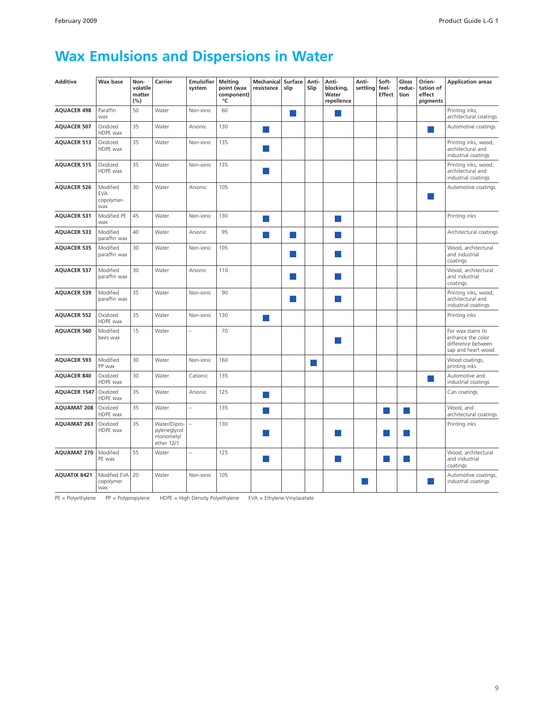### <span id="page-7-0"></span>**Wax Emulsions and Dispersions in Water**

| <b>Additive</b>     | Wax base                                    | Non-<br>volatile<br>matter<br>(%) | Carrier                                                 | <b>Emulsifier</b><br>system | <b>Melting</b><br>point (wax<br>component)<br>°C | <b>Mechanical</b><br>resistance | Surface<br>slip | Anti-<br>Slip | Anti-<br>blocking,<br>Water<br>repellence | Anti-<br>settling | Soft-<br>feel-<br><b>Effect</b> | Gloss<br>reduc-<br>tion | Orien-<br>tation of<br>effect<br>pigments | <b>Application areas</b>                                                           |
|---------------------|---------------------------------------------|-----------------------------------|---------------------------------------------------------|-----------------------------|--------------------------------------------------|---------------------------------|-----------------|---------------|-------------------------------------------|-------------------|---------------------------------|-------------------------|-------------------------------------------|------------------------------------------------------------------------------------|
| <b>AQUACER 498</b>  | Paraffin<br>wax                             | 50                                | Water                                                   | Non-ionic                   | 60                                               |                                 | m.              |               |                                           |                   |                                 |                         |                                           | Printing inks,<br>architectural coatings                                           |
| <b>AQUACER 507</b>  | Oxidized<br>HDPE wax                        | 35                                | Water                                                   | Anionic                     | 130                                              | k.                              |                 |               |                                           |                   |                                 |                         |                                           | Automotive coatings                                                                |
| <b>AQUACER 513</b>  | Oxidized<br>HDPE wax                        | 35                                | Water                                                   | Non-ionic                   | 135                                              |                                 |                 |               |                                           |                   |                                 |                         |                                           | Printing inks, wood,<br>architectural and<br>industrial coatings                   |
| <b>AQUACER 515</b>  | Oxidized<br>HDPE wax                        | 35                                | Water                                                   | Non-ionic                   | 135                                              | <b>Service Service</b>          |                 |               |                                           |                   |                                 |                         |                                           | Printing inks, wood,<br>architectural and<br>industrial coatings                   |
| <b>AQUACER 526</b>  | Modified<br><b>EVA</b><br>copolymer-<br>wax | 30                                | Water                                                   | Anionic                     | 105                                              |                                 |                 |               |                                           |                   |                                 |                         |                                           | Automotive coatings                                                                |
| <b>AQUACER 531</b>  | Modified PE<br>wax                          | 45                                | Water                                                   | Non-ionic                   | 130                                              | k.                              |                 |               | <b>College</b>                            |                   |                                 |                         |                                           | Printing inks                                                                      |
| <b>AQUACER 533</b>  | Modified<br>paraffin wax                    | 40                                | Water                                                   | Anionic                     | 95                                               | <b>Single Street</b>            | m.              |               |                                           |                   |                                 |                         |                                           | Architectural coatings                                                             |
| <b>AQUACER 535</b>  | Modified<br>paraffin wax                    | 30                                | Water                                                   | Non-ionic                   | 105                                              |                                 | ×               |               |                                           |                   |                                 |                         |                                           | Wood, architectural<br>and industrial<br>coatings                                  |
| <b>AQUACER 537</b>  | Modified<br>paraffin wax                    | 30                                | Water                                                   | Anionic                     | 110                                              |                                 | ×               |               |                                           |                   |                                 |                         |                                           | Wood, architectural<br>and industrial<br>coatings                                  |
| <b>AQUACER 539</b>  | Modified<br>paraffin wax                    | 35                                | Water                                                   | Non-ionic                   | 90                                               |                                 | ×.              |               | l a l                                     |                   |                                 |                         |                                           | Printing inks, wood,<br>architectural and<br>industrial coatings                   |
| <b>AQUACER 552</b>  | Oxidized<br>HDPE wax                        | 35                                | Water                                                   | Non-ionic                   | 130                                              | k.                              |                 |               |                                           |                   |                                 |                         |                                           | Printing inks                                                                      |
| <b>AQUACER 560</b>  | Modified<br>bees wax                        | 15                                | Water                                                   |                             | 70                                               |                                 |                 |               | H.                                        |                   |                                 |                         |                                           | For wax stains to<br>enhance the color<br>difference between<br>sap and heart wood |
| <b>AQUACER 593</b>  | Modified<br>PP wax                          | 30                                | Water                                                   | Non-ionic                   | 160                                              |                                 |                 | m.            |                                           |                   |                                 |                         |                                           | Wood coatings,<br>printing inks                                                    |
| <b>AQUACER 840</b>  | Oxidized<br>HDPE wax                        | 30                                | Water                                                   | Cationic                    | 135                                              |                                 |                 |               |                                           |                   |                                 |                         | m.                                        | Automotive and<br>industrial coatings                                              |
| <b>AQUACER 1547</b> | Oxidized<br>HDPE wax                        | 35                                | Water                                                   | Anionic                     | 125                                              | a l                             |                 |               |                                           |                   |                                 |                         |                                           | Can coatings                                                                       |
| <b>AQUAMAT 208</b>  | Oxidized<br>HDPE wax                        | 35                                | Water                                                   | $\overline{\phantom{0}}$    | 135                                              | H                               |                 |               |                                           |                   | n a                             | ×.                      |                                           | Wood, and<br>architectural coatings                                                |
| <b>AQUAMAT 263</b>  | Oxidized<br>HDPE wax                        | 35                                | Water/Dipro-<br>pyleneglycol<br>monometyl<br>ether 12/1 | L.                          | 130                                              |                                 |                 |               |                                           |                   |                                 |                         |                                           | Printing inks                                                                      |
| <b>AQUAMAT 270</b>  | Modified<br>PE wax                          | 55                                | Water                                                   | $\overline{\phantom{0}}$    | 125                                              | H.                              |                 |               | <b>Contract</b>                           |                   |                                 |                         |                                           | Wood, architectural<br>and industrial<br>coatings                                  |
| <b>AQUATIX 8421</b> | Modified EVA<br>copolymer<br>wax            | 20                                | Water                                                   | Non-jonic                   | 105                                              |                                 |                 |               |                                           |                   |                                 |                         |                                           | Automotive coatings,<br>industrial coatings                                        |

PE = Polyethylene PP = Polypropylene HDPE = High Density Polyethylene EVA = Ethylene-Vinylacetate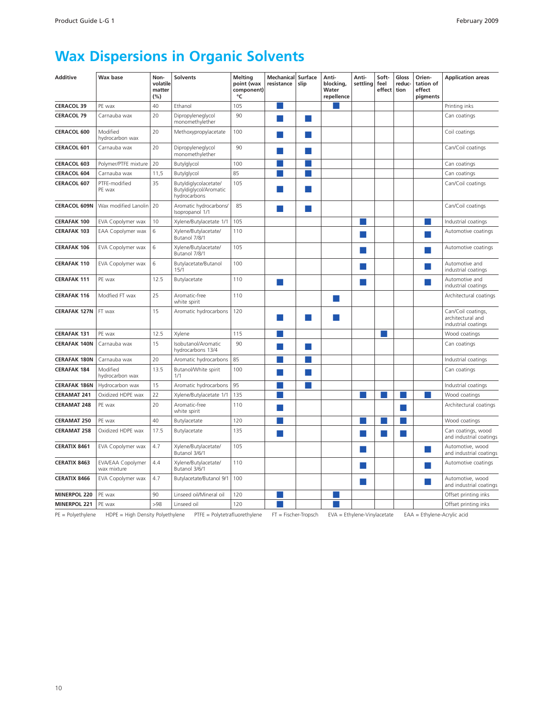### <span id="page-8-0"></span>**Wax Dispersions in Organic Solvents**

| 40<br>Ethanol<br>105<br>Printing inks<br><b>CERACOL 39</b><br>PE wax<br>20<br>Dipropyleneglycol<br><b>CERACOL 79</b><br>Carnauba wax<br>90<br>Can coatings<br>monomethylether<br>20<br>100<br>CERACOL 600<br>Modified<br>Methoxypropylacetate<br>Coil coatings<br>hydrocarbon wax<br>CERACOL 601<br>20<br>Dipropyleneglycol<br>90<br>Can/Coil coatings<br>Carnauba wax<br>monomethylether<br>20<br>100<br><b>CERACOL 603</b><br>Polymer/PTFE mixture<br>Butylglycol<br>Can coatings<br>85<br>11,5<br>Butylglycol<br><b>CERACOL 604</b><br>Carnauba wax<br>Can coatings<br>35<br>Butyldiglycolacetate/<br>105<br><b>CERACOL 607</b><br>PTFE-modified<br>Can/Coil coatings<br>Butyldiglycol/Aromatic<br>PE wax<br>hydrocarbons<br>Aromatic hydrocarbons/<br><b>CERACOL 609N</b><br>Wax modified Lanolin<br>20<br>85<br>Can/Coil coatings<br>Isopropanol 1/1<br><b>CERAFAK 100</b><br>10<br>Xylene/Butylacetate 1/1<br>105<br>EVA Copolymer wax<br>Industrial coatings<br><b>CERAFAK 103</b><br>6<br>Xylene/Butylacetate/<br>110<br>EAA Copolymer wax<br>Automotive coatings<br>Butanol 7/8/1<br>6<br>Xylene/Butylacetate/<br>105<br><b>CERAFAK 106</b><br>EVA Copolymer wax<br>Automotive coatings<br>Butanol 7/8/1<br>6<br>100<br><b>CERAFAK 110</b><br>EVA Copolymer wax<br>Butylacetate/Butanol<br>Automotive and<br>15/1<br>industrial coatings<br>12.5<br>110<br><b>CERAFAK 111</b><br>PE wax<br>Butylacetate<br>Automotive and<br>industrial coatings<br>25<br>110<br><b>CERAFAK 116</b><br>Modfied FT wax<br>Aromatic-free<br>Architectural coatings<br>white spirit<br>15<br><b>CERAFAK 127N</b><br>FT wax<br>Aromatic hydrocarbons<br>120<br>Can/Coil coatings,<br>architectural and<br>industrial coatings<br>12.5<br>115<br><b>CERAFAK 131</b><br>PE wax<br>Xylene<br>×.<br>Wood coatings<br>Carnauba wax<br>15<br>Isobutanol/Aromatic<br>90<br><b>CERAFAK 140N</b><br>Can coatings<br>hydrocarbons 13/4<br>85<br>20<br><b>CERAFAK 180N</b><br>Carnauba wax<br>Aromatic hydrocarbons<br>Industrial coatings<br><b>CERAFAK 184</b><br>Modified<br>13.5<br>Butanol/White spirit<br>100<br>Can coatings<br>hydrocarbon wax<br>1/1<br>15<br><b>CERAFAK 186N</b><br>Hydrocarbon wax<br>Aromatic hydrocarbons<br>95<br>Industrial coatings<br>22<br>135<br>Xylene/Butylacetate 1/1<br><b>CERAMAT 241</b><br>Oxidized HDPE wax<br>Wood coatings<br>20<br><b>CERAMAT 248</b><br>PE wax<br>Aromatic-free<br>110<br>Architectural coatings<br>white spirit | <b>Application areas</b> |
|-----------------------------------------------------------------------------------------------------------------------------------------------------------------------------------------------------------------------------------------------------------------------------------------------------------------------------------------------------------------------------------------------------------------------------------------------------------------------------------------------------------------------------------------------------------------------------------------------------------------------------------------------------------------------------------------------------------------------------------------------------------------------------------------------------------------------------------------------------------------------------------------------------------------------------------------------------------------------------------------------------------------------------------------------------------------------------------------------------------------------------------------------------------------------------------------------------------------------------------------------------------------------------------------------------------------------------------------------------------------------------------------------------------------------------------------------------------------------------------------------------------------------------------------------------------------------------------------------------------------------------------------------------------------------------------------------------------------------------------------------------------------------------------------------------------------------------------------------------------------------------------------------------------------------------------------------------------------------------------------------------------------------------------------------------------------------------------------------------------------------------------------------------------------------------------------------------------------------------------------------------------------------------------------------------------------------------------------------------------------------------------------------------------------------------------------------------------|--------------------------|
|                                                                                                                                                                                                                                                                                                                                                                                                                                                                                                                                                                                                                                                                                                                                                                                                                                                                                                                                                                                                                                                                                                                                                                                                                                                                                                                                                                                                                                                                                                                                                                                                                                                                                                                                                                                                                                                                                                                                                                                                                                                                                                                                                                                                                                                                                                                                                                                                                                                           |                          |
|                                                                                                                                                                                                                                                                                                                                                                                                                                                                                                                                                                                                                                                                                                                                                                                                                                                                                                                                                                                                                                                                                                                                                                                                                                                                                                                                                                                                                                                                                                                                                                                                                                                                                                                                                                                                                                                                                                                                                                                                                                                                                                                                                                                                                                                                                                                                                                                                                                                           |                          |
|                                                                                                                                                                                                                                                                                                                                                                                                                                                                                                                                                                                                                                                                                                                                                                                                                                                                                                                                                                                                                                                                                                                                                                                                                                                                                                                                                                                                                                                                                                                                                                                                                                                                                                                                                                                                                                                                                                                                                                                                                                                                                                                                                                                                                                                                                                                                                                                                                                                           |                          |
|                                                                                                                                                                                                                                                                                                                                                                                                                                                                                                                                                                                                                                                                                                                                                                                                                                                                                                                                                                                                                                                                                                                                                                                                                                                                                                                                                                                                                                                                                                                                                                                                                                                                                                                                                                                                                                                                                                                                                                                                                                                                                                                                                                                                                                                                                                                                                                                                                                                           |                          |
|                                                                                                                                                                                                                                                                                                                                                                                                                                                                                                                                                                                                                                                                                                                                                                                                                                                                                                                                                                                                                                                                                                                                                                                                                                                                                                                                                                                                                                                                                                                                                                                                                                                                                                                                                                                                                                                                                                                                                                                                                                                                                                                                                                                                                                                                                                                                                                                                                                                           |                          |
|                                                                                                                                                                                                                                                                                                                                                                                                                                                                                                                                                                                                                                                                                                                                                                                                                                                                                                                                                                                                                                                                                                                                                                                                                                                                                                                                                                                                                                                                                                                                                                                                                                                                                                                                                                                                                                                                                                                                                                                                                                                                                                                                                                                                                                                                                                                                                                                                                                                           |                          |
|                                                                                                                                                                                                                                                                                                                                                                                                                                                                                                                                                                                                                                                                                                                                                                                                                                                                                                                                                                                                                                                                                                                                                                                                                                                                                                                                                                                                                                                                                                                                                                                                                                                                                                                                                                                                                                                                                                                                                                                                                                                                                                                                                                                                                                                                                                                                                                                                                                                           |                          |
|                                                                                                                                                                                                                                                                                                                                                                                                                                                                                                                                                                                                                                                                                                                                                                                                                                                                                                                                                                                                                                                                                                                                                                                                                                                                                                                                                                                                                                                                                                                                                                                                                                                                                                                                                                                                                                                                                                                                                                                                                                                                                                                                                                                                                                                                                                                                                                                                                                                           |                          |
|                                                                                                                                                                                                                                                                                                                                                                                                                                                                                                                                                                                                                                                                                                                                                                                                                                                                                                                                                                                                                                                                                                                                                                                                                                                                                                                                                                                                                                                                                                                                                                                                                                                                                                                                                                                                                                                                                                                                                                                                                                                                                                                                                                                                                                                                                                                                                                                                                                                           |                          |
|                                                                                                                                                                                                                                                                                                                                                                                                                                                                                                                                                                                                                                                                                                                                                                                                                                                                                                                                                                                                                                                                                                                                                                                                                                                                                                                                                                                                                                                                                                                                                                                                                                                                                                                                                                                                                                                                                                                                                                                                                                                                                                                                                                                                                                                                                                                                                                                                                                                           |                          |
|                                                                                                                                                                                                                                                                                                                                                                                                                                                                                                                                                                                                                                                                                                                                                                                                                                                                                                                                                                                                                                                                                                                                                                                                                                                                                                                                                                                                                                                                                                                                                                                                                                                                                                                                                                                                                                                                                                                                                                                                                                                                                                                                                                                                                                                                                                                                                                                                                                                           |                          |
|                                                                                                                                                                                                                                                                                                                                                                                                                                                                                                                                                                                                                                                                                                                                                                                                                                                                                                                                                                                                                                                                                                                                                                                                                                                                                                                                                                                                                                                                                                                                                                                                                                                                                                                                                                                                                                                                                                                                                                                                                                                                                                                                                                                                                                                                                                                                                                                                                                                           |                          |
|                                                                                                                                                                                                                                                                                                                                                                                                                                                                                                                                                                                                                                                                                                                                                                                                                                                                                                                                                                                                                                                                                                                                                                                                                                                                                                                                                                                                                                                                                                                                                                                                                                                                                                                                                                                                                                                                                                                                                                                                                                                                                                                                                                                                                                                                                                                                                                                                                                                           |                          |
|                                                                                                                                                                                                                                                                                                                                                                                                                                                                                                                                                                                                                                                                                                                                                                                                                                                                                                                                                                                                                                                                                                                                                                                                                                                                                                                                                                                                                                                                                                                                                                                                                                                                                                                                                                                                                                                                                                                                                                                                                                                                                                                                                                                                                                                                                                                                                                                                                                                           |                          |
|                                                                                                                                                                                                                                                                                                                                                                                                                                                                                                                                                                                                                                                                                                                                                                                                                                                                                                                                                                                                                                                                                                                                                                                                                                                                                                                                                                                                                                                                                                                                                                                                                                                                                                                                                                                                                                                                                                                                                                                                                                                                                                                                                                                                                                                                                                                                                                                                                                                           |                          |
|                                                                                                                                                                                                                                                                                                                                                                                                                                                                                                                                                                                                                                                                                                                                                                                                                                                                                                                                                                                                                                                                                                                                                                                                                                                                                                                                                                                                                                                                                                                                                                                                                                                                                                                                                                                                                                                                                                                                                                                                                                                                                                                                                                                                                                                                                                                                                                                                                                                           |                          |
|                                                                                                                                                                                                                                                                                                                                                                                                                                                                                                                                                                                                                                                                                                                                                                                                                                                                                                                                                                                                                                                                                                                                                                                                                                                                                                                                                                                                                                                                                                                                                                                                                                                                                                                                                                                                                                                                                                                                                                                                                                                                                                                                                                                                                                                                                                                                                                                                                                                           |                          |
|                                                                                                                                                                                                                                                                                                                                                                                                                                                                                                                                                                                                                                                                                                                                                                                                                                                                                                                                                                                                                                                                                                                                                                                                                                                                                                                                                                                                                                                                                                                                                                                                                                                                                                                                                                                                                                                                                                                                                                                                                                                                                                                                                                                                                                                                                                                                                                                                                                                           |                          |
|                                                                                                                                                                                                                                                                                                                                                                                                                                                                                                                                                                                                                                                                                                                                                                                                                                                                                                                                                                                                                                                                                                                                                                                                                                                                                                                                                                                                                                                                                                                                                                                                                                                                                                                                                                                                                                                                                                                                                                                                                                                                                                                                                                                                                                                                                                                                                                                                                                                           |                          |
|                                                                                                                                                                                                                                                                                                                                                                                                                                                                                                                                                                                                                                                                                                                                                                                                                                                                                                                                                                                                                                                                                                                                                                                                                                                                                                                                                                                                                                                                                                                                                                                                                                                                                                                                                                                                                                                                                                                                                                                                                                                                                                                                                                                                                                                                                                                                                                                                                                                           |                          |
|                                                                                                                                                                                                                                                                                                                                                                                                                                                                                                                                                                                                                                                                                                                                                                                                                                                                                                                                                                                                                                                                                                                                                                                                                                                                                                                                                                                                                                                                                                                                                                                                                                                                                                                                                                                                                                                                                                                                                                                                                                                                                                                                                                                                                                                                                                                                                                                                                                                           |                          |
|                                                                                                                                                                                                                                                                                                                                                                                                                                                                                                                                                                                                                                                                                                                                                                                                                                                                                                                                                                                                                                                                                                                                                                                                                                                                                                                                                                                                                                                                                                                                                                                                                                                                                                                                                                                                                                                                                                                                                                                                                                                                                                                                                                                                                                                                                                                                                                                                                                                           |                          |
| 40<br>120<br><b>CERAMAT 250</b><br>PE wax<br>Butylacetate<br>Wood coatings                                                                                                                                                                                                                                                                                                                                                                                                                                                                                                                                                                                                                                                                                                                                                                                                                                                                                                                                                                                                                                                                                                                                                                                                                                                                                                                                                                                                                                                                                                                                                                                                                                                                                                                                                                                                                                                                                                                                                                                                                                                                                                                                                                                                                                                                                                                                                                                |                          |
| 17.5<br>135<br>Oxidized HDPE wax<br>Butylacetate<br>Can coatings, wood<br><b>CERAMAT 258</b><br>and industrial coatings                                                                                                                                                                                                                                                                                                                                                                                                                                                                                                                                                                                                                                                                                                                                                                                                                                                                                                                                                                                                                                                                                                                                                                                                                                                                                                                                                                                                                                                                                                                                                                                                                                                                                                                                                                                                                                                                                                                                                                                                                                                                                                                                                                                                                                                                                                                                   |                          |
| 4.7<br>Xylene/Butylacetate/<br>105<br>CERATIX 8461<br>EVA Copolymer wax<br>Automotive, wood<br>Butanol 3/6/1<br>and industrial coatings                                                                                                                                                                                                                                                                                                                                                                                                                                                                                                                                                                                                                                                                                                                                                                                                                                                                                                                                                                                                                                                                                                                                                                                                                                                                                                                                                                                                                                                                                                                                                                                                                                                                                                                                                                                                                                                                                                                                                                                                                                                                                                                                                                                                                                                                                                                   |                          |
| 4.4<br><b>CERATIX 8463</b><br>EVA/EAA Copolymer<br>Xylene/Butylacetate/<br>110<br>Automotive coatings<br>Butanol 3/6/1<br>wax mixture                                                                                                                                                                                                                                                                                                                                                                                                                                                                                                                                                                                                                                                                                                                                                                                                                                                                                                                                                                                                                                                                                                                                                                                                                                                                                                                                                                                                                                                                                                                                                                                                                                                                                                                                                                                                                                                                                                                                                                                                                                                                                                                                                                                                                                                                                                                     |                          |
| <b>CERATIX 8466</b><br>EVA Copolymer wax<br>4.7<br>Butylacetate/Butanol 9/1<br>100<br>Automotive, wood<br>and industrial coatings                                                                                                                                                                                                                                                                                                                                                                                                                                                                                                                                                                                                                                                                                                                                                                                                                                                                                                                                                                                                                                                                                                                                                                                                                                                                                                                                                                                                                                                                                                                                                                                                                                                                                                                                                                                                                                                                                                                                                                                                                                                                                                                                                                                                                                                                                                                         |                          |
| <b>MINERPOL 220</b><br>PE wax<br>90<br>Linseed oil/Mineral oil<br>120<br>Offset printing inks                                                                                                                                                                                                                                                                                                                                                                                                                                                                                                                                                                                                                                                                                                                                                                                                                                                                                                                                                                                                                                                                                                                                                                                                                                                                                                                                                                                                                                                                                                                                                                                                                                                                                                                                                                                                                                                                                                                                                                                                                                                                                                                                                                                                                                                                                                                                                             |                          |
| >98<br>120<br><b>MINERPOL 221</b><br>PE wax<br>Linseed oil<br>Offset printing inks                                                                                                                                                                                                                                                                                                                                                                                                                                                                                                                                                                                                                                                                                                                                                                                                                                                                                                                                                                                                                                                                                                                                                                                                                                                                                                                                                                                                                                                                                                                                                                                                                                                                                                                                                                                                                                                                                                                                                                                                                                                                                                                                                                                                                                                                                                                                                                        |                          |

PE = Polyethylene HDPE = High Density Polyethylene PTFE = Polytetrafluorethylene FT = Fischer-Tropsch EVA = Ethylene-Vinylacetate EAA = Ethylene-Acrylic acid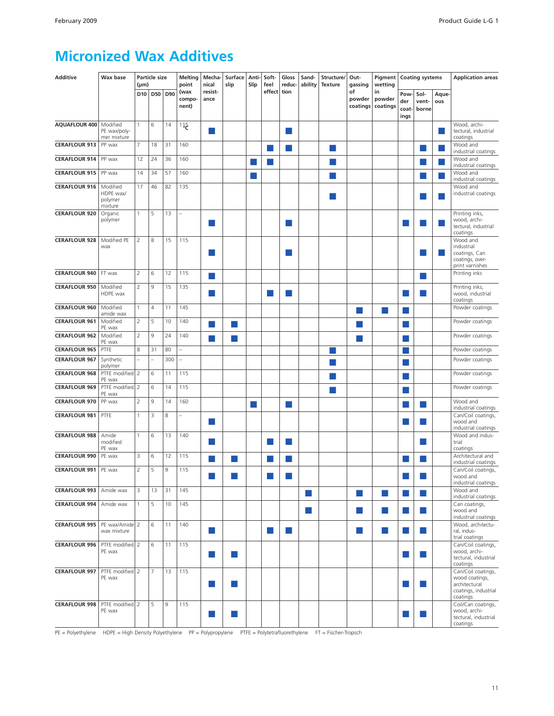#### <span id="page-9-0"></span>**Micronized Wax Additives**

| <b>Additive</b>      | Wax base                                    | $(\mu m)$       | <b>Particle size</b> |     | <b>Melting</b><br>point  | Mecha-<br>nical | Surface<br>slip        | Anti-<br>Slip | Soft-<br>feel | Gloss<br>reduc- | Sand-<br>ability | Structure/<br><b>Texture</b> | Out-<br>gassing          | Pigment<br>wetting       | <b>Coating systems</b>      |                        |              | <b>Application areas</b>                                                                  |
|----------------------|---------------------------------------------|-----------------|----------------------|-----|--------------------------|-----------------|------------------------|---------------|---------------|-----------------|------------------|------------------------------|--------------------------|--------------------------|-----------------------------|------------------------|--------------|-------------------------------------------------------------------------------------------|
|                      |                                             | D <sub>10</sub> | <b>D50</b>           | D90 | (wax<br>compo-<br>nent)  | resist-<br>ance |                        |               | effect        | tion            |                  |                              | of<br>powder<br>coatings | in<br>powder<br>coatings | Pow<br>der<br>coat-<br>ings | Sol-<br>vent-<br>borne | Aque-<br>ous |                                                                                           |
| AQUAFLOUR 400        | Modified<br>PE wax/poly-<br>mer mixture     | 1               | 6                    | 14  | 115                      | m.              |                        |               |               |                 |                  |                              |                          |                          |                             |                        |              | Wood, archi-<br>tectural, industrial<br>coatings                                          |
| <b>CERAFLOUR 913</b> | PP wax                                      | 7               | 18                   | 31  | 160                      |                 |                        |               |               | M               |                  | k.                           |                          |                          |                             | m.                     |              | Wood and<br>industrial coatings                                                           |
| <b>CERAFLOUR 914</b> | PP wax                                      | 12              | 24                   | 36  | 160                      |                 |                        |               |               |                 |                  |                              |                          |                          |                             |                        |              | Wood and                                                                                  |
| <b>CERAFLOUR 915</b> | PP wax                                      | 14              | 34                   | 57  | 160                      |                 |                        |               |               |                 |                  |                              |                          |                          |                             |                        | ×            | industrial coatings<br>Wood and                                                           |
| <b>CERAFLOUR 916</b> | Modified<br>HDPE wax/<br>polymer<br>mixture | 17              | 46                   | 82  | 135                      |                 |                        |               |               |                 |                  |                              |                          |                          |                             |                        |              | industrial coatings<br>Wood and<br>industrial coatings                                    |
| <b>CERAFLOUR 920</b> | Organic<br>polymer                          | 1               | 5                    | 13  | $\overline{\phantom{0}}$ | ×.              |                        |               |               |                 |                  |                              |                          |                          |                             |                        |              | Printing inks,<br>wood, archi-<br>tectural, industrial<br>coatings                        |
| <b>CERAFLOUR 928</b> | Modified PE<br>wax                          | $\overline{2}$  | 8                    | 15  | 115                      | ×               |                        |               |               |                 |                  |                              |                          |                          |                             |                        |              | Wood and<br>industrial<br>coatings, Can<br>coatings, over-<br>print varnishes             |
| <b>CERAFLOUR 940</b> | FT wax                                      | 2               | 6                    | 12  | 115                      | m.              |                        |               |               |                 |                  |                              |                          |                          |                             |                        |              | Printing inks                                                                             |
| <b>CERAFLOUR 950</b> | Modified<br>HDPE wax                        | 2               | 9                    | 15  | 135                      | <b>STATE</b>    |                        |               |               |                 |                  |                              |                          |                          |                             |                        |              | Printing inks,<br>wood, industrial<br>coatings                                            |
| <b>CERAFLOUR 960</b> | Modified<br>amide wax                       | 1               | $\overline{4}$       | 11  | 145                      |                 |                        |               |               |                 |                  |                              | <b>ST</b>                | $\sim$                   | ×                           |                        |              | Powder coatings                                                                           |
| <b>CERAFLOUR 961</b> | Modified                                    | $\overline{2}$  | 5                    | 10  | 140                      | ×               |                        |               |               |                 |                  |                              |                          |                          |                             |                        |              | Powder coatings                                                                           |
| <b>CERAFLOUR 962</b> | PE wax<br>Modified                          | 2               | 9                    | 24  | 140                      | ×.              | <b>Service Service</b> |               |               |                 |                  |                              | a l                      |                          |                             |                        |              | Powder coatings                                                                           |
| <b>CERAFLOUR 965</b> | PE wax<br>PTFE                              | 8               | 31                   | 80  | $\overline{a}$           |                 |                        |               |               |                 |                  |                              |                          |                          |                             |                        |              | Powder coatings                                                                           |
| <b>CERAFLOUR 967</b> | Synthetic                                   | $\overline{a}$  | $\overline{a}$       | 300 | L                        |                 |                        |               |               |                 |                  |                              |                          |                          |                             |                        |              | Powder coatings                                                                           |
| <b>CERAFLOUR 968</b> | polymer<br>PTFE modified 2                  |                 | 6                    | 11  | 115                      |                 |                        |               |               |                 |                  |                              |                          |                          |                             |                        |              | Powder coatings                                                                           |
| <b>CERAFLOUR 969</b> | PE wax<br>PTFE modified 2                   |                 | 6                    | 14  | 115                      |                 |                        |               |               |                 |                  |                              |                          |                          |                             |                        |              | Powder coatings                                                                           |
| <b>CERAFLOUR 970</b> | PE wax<br>PP wax                            | 2               | 9                    | 14  | 160                      |                 |                        |               |               | ٠               |                  |                              |                          |                          |                             | ٠                      |              | Wood and                                                                                  |
| <b>CERAFLOUR 981</b> | PTFE                                        | $\mathbf{1}$    | 3                    | 8   |                          | ×.              |                        |               |               |                 |                  |                              |                          |                          |                             |                        |              | industrial coatings<br>Can/Coil coatings,<br>wood and<br>industrial coatings              |
| <b>CERAFLOUR 988</b> | Amide<br>modified<br>PE wax                 | $\mathbf{1}$    | 6                    | 13  | 140                      | ×.              |                        |               |               |                 |                  |                              |                          |                          |                             |                        |              | Wood and indus-<br>trial<br>coatings                                                      |
| <b>CERAFLOUR 990</b> | PE wax                                      | 3               | 6                    | 12  | 115                      |                 |                        |               |               |                 |                  |                              |                          |                          |                             |                        |              | Architectural and                                                                         |
| <b>CERAFLOUR 991</b> | PE wax                                      | $\overline{2}$  | 5                    | 9   | 115                      |                 |                        |               |               |                 |                  |                              |                          |                          |                             |                        |              | industrial coatings<br>Can/Coil coatings,<br>wood and<br>industrial coatings              |
| <b>CERAFLOUR 993</b> | Amide wax                                   | 3               | 13                   | 31  | 145                      |                 |                        |               |               |                 | <b>COL</b>       |                              | ٠                        | m.                       | ×.                          |                        |              | Wood and<br>industrial coatings                                                           |
| <b>CERAFLOUR 994</b> | Amide wax                                   | $\mathbf{1}$    | 5                    | 10  | 145                      |                 |                        |               |               |                 | m.               |                              | ٠                        | m.                       | n a                         | <b>COL</b>             |              | Can coatings,<br>wood and<br>industrial coatings                                          |
| <b>CERAFLOUR 995</b> | PE wax/Amide 2<br>wax mixture               |                 | 6                    | 11  | 140                      | <b>College</b>  |                        |               | ×.            |                 |                  |                              | ٠                        | ٠                        | <b>STAR</b>                 | <b>College</b>         |              | Wood, architectu-<br>ral, indus-<br>trial coatings                                        |
| <b>CERAFLOUR 996</b> | PTFE modified 2<br>PE wax                   |                 | 6                    | 11  | 115                      | m.              | ×                      |               |               |                 |                  |                              |                          |                          |                             | ×.                     |              | Can/Coil coatings,<br>wood, archi-<br>tectural, industrial<br>coatings                    |
| <b>CERAFLOUR 997</b> | PTFE modified 2<br>PE wax                   |                 | $\overline{7}$       | 13  | 115                      | m.              |                        |               |               |                 |                  |                              |                          |                          |                             |                        |              | Can/Coil coatings,<br>wood coatings,<br>architectural<br>coatings, industrial<br>coatings |
| <b>CERAFLOUR 998</b> | PTFE modified 2<br>PE wax                   |                 | 5                    | 9   | 115                      | m.              | ×                      |               |               |                 |                  |                              |                          |                          |                             |                        |              | Coil/Can coatings,<br>wood, archi-<br>tectural, industrial<br>coatings                    |

PE = Polyethylene HDPE = High Density Polyethylene PP = Polypropylene PTFE = Polytetrafluorethylene FT = Fischer-Tropsch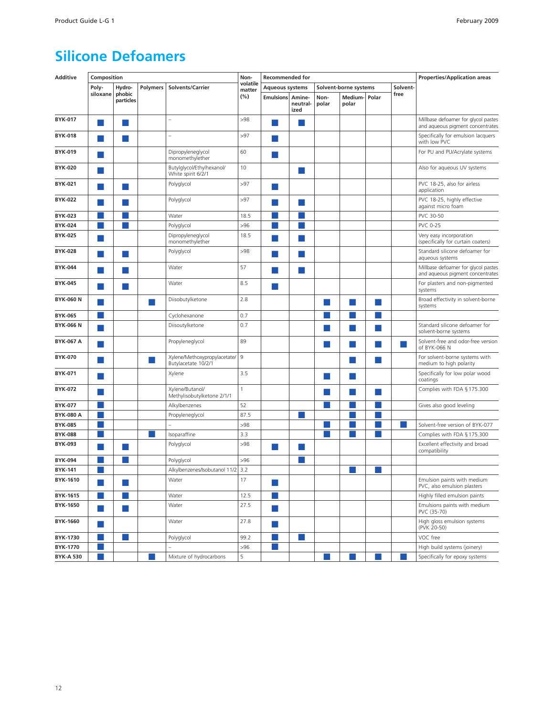#### <span id="page-10-0"></span>**Silicone Defoamers**

| <b>Additive</b>  | Composition |                        |          |                                                     | Non-               | <b>Recommended for</b>                                                                                         |                                                                                                                |               | <b>Properties/Application areas</b> |       |          |                                                                         |  |
|------------------|-------------|------------------------|----------|-----------------------------------------------------|--------------------|----------------------------------------------------------------------------------------------------------------|----------------------------------------------------------------------------------------------------------------|---------------|-------------------------------------|-------|----------|-------------------------------------------------------------------------|--|
|                  | Poly-       | Hydro-                 | Polymers | Solvents/Carrier                                    | volatile<br>matter | <b>Aqueous systems</b>                                                                                         |                                                                                                                |               | Solvent-borne systems               |       | Solvent- |                                                                         |  |
|                  | siloxane    | phobic<br>particles    |          |                                                     | $(\%)$             | <b>Emulsions Amine-</b>                                                                                        | neutral-<br>ized                                                                                               | Non-<br>polar | Medium-<br>polar                    | Polar | free     |                                                                         |  |
| <b>BYK-017</b>   |             | ×                      |          | $\overline{a}$                                      | >98                | a.                                                                                                             | - 1                                                                                                            |               |                                     |       |          | Millbase defoamer for glycol pastes<br>and aqueous pigment concentrates |  |
| <b>BYK-018</b>   |             | ×                      |          |                                                     | >97                | ×.                                                                                                             |                                                                                                                |               |                                     |       |          | Specifically for emulsion lacquers<br>with low PVC                      |  |
| <b>BYK-019</b>   |             |                        |          | Dipropyleneglycol<br>monomethylether                | 60                 |                                                                                                                |                                                                                                                |               |                                     |       |          | For PU and PU/Acrylate systems                                          |  |
| <b>BYK-020</b>   |             |                        |          | Butylglycol/Ethylhexanol/<br>White spirit 6/2/1     | 10                 |                                                                                                                | m.                                                                                                             |               |                                     |       |          | Also for aqueous UV systems                                             |  |
| <b>BYK-021</b>   |             | ×                      |          | Polyglycol                                          | >97                | and the state of the state of the state of the state of the state of the state of the state of the state of th |                                                                                                                |               |                                     |       |          | PVC 18-25, also for airless<br>application                              |  |
| <b>BYK-022</b>   |             |                        |          | Polyglycol                                          | >97                | <b>Service Service</b>                                                                                         | a s                                                                                                            |               |                                     |       |          | PVC 18-25, highly effective<br>against micro foam                       |  |
| <b>BYK-023</b>   |             |                        |          | Water                                               | 18.5               |                                                                                                                |                                                                                                                |               |                                     |       |          | PVC 30-50                                                               |  |
| <b>BYK-024</b>   |             | <b>Service Service</b> |          | Polyglycol                                          | >96                |                                                                                                                |                                                                                                                |               |                                     |       |          | <b>PVC 0-25</b>                                                         |  |
| <b>BYK-025</b>   |             |                        |          | Dipropyleneglycol<br>monomethylether                | 18.5               |                                                                                                                | ×.                                                                                                             |               |                                     |       |          | Very easy incorporation<br>(specifically for curtain coaters)           |  |
| <b>BYK-028</b>   |             | ×                      |          | Polyglycol                                          | >98                |                                                                                                                | a s                                                                                                            |               |                                     |       |          | Standard silicone defoamer for<br>aqueous systems                       |  |
| <b>BYK-044</b>   |             |                        |          | Water                                               | 57                 |                                                                                                                | l a l                                                                                                          |               |                                     |       |          | Millbase defoamer for glycol pastes<br>and aqueous pigment concentrates |  |
| <b>BYK-045</b>   |             |                        |          | Water                                               | 8.5                |                                                                                                                |                                                                                                                |               |                                     |       |          | For plasters and non-pigmented<br>systems                               |  |
| <b>BYK-060 N</b> |             |                        |          | Diisobutylketone                                    | 2.8                |                                                                                                                |                                                                                                                | m.            | ×                                   | ×     |          | Broad effectivity in solvent-borne<br>systems                           |  |
| <b>BYK-065</b>   |             |                        |          | Cyclohexanone                                       | 0.7                |                                                                                                                |                                                                                                                |               |                                     |       |          |                                                                         |  |
| <b>BYK-066 N</b> |             |                        |          | Diisoutylketone                                     | 0.7                |                                                                                                                |                                                                                                                |               |                                     |       |          | Standard silicone defoamer for<br>solvent-borne systems                 |  |
| <b>BYK-067 A</b> |             |                        |          | Propyleneglycol                                     | 89                 |                                                                                                                |                                                                                                                | <b>ST</b>     | ×.                                  | a l   |          | Solvent-free and odor-free version<br>of BYK-066 N                      |  |
| <b>BYK-070</b>   |             |                        |          | Xylene/Methoxypropylacetate/<br>Butylacetate 10/2/1 | $\overline{9}$     |                                                                                                                |                                                                                                                |               | ×.                                  | m.    |          | For solvent-borne systems with<br>medium to high polarity               |  |
| <b>BYK-071</b>   |             |                        |          | Xylene                                              | 3.5                |                                                                                                                |                                                                                                                | <b>STEP</b>   | ×                                   |       |          | Specifically for low polar wood<br>coatings                             |  |
| <b>BYK-072</b>   |             |                        |          | Xylene/Butanol/<br>Methylisobutylketone 2/1/1       | $\mathbf{1}$       |                                                                                                                |                                                                                                                |               |                                     |       |          | Complies with FDA § 175.300                                             |  |
| <b>BYK-077</b>   |             |                        |          | Alkylbenzenes                                       | 52                 |                                                                                                                |                                                                                                                |               |                                     |       |          | Gives also good leveling                                                |  |
| <b>BYK-080 A</b> |             |                        |          | Propyleneglycol                                     | 87.5               |                                                                                                                | <b>Service Service</b>                                                                                         |               |                                     |       |          |                                                                         |  |
| <b>BYK-085</b>   |             |                        |          |                                                     | >98                |                                                                                                                |                                                                                                                |               |                                     |       |          | Solvent-free version of BYK-077                                         |  |
| <b>BYK-088</b>   |             |                        |          | Isoparaffine                                        | 3.3                |                                                                                                                |                                                                                                                |               |                                     |       |          | Complies with FDA § 175.300                                             |  |
| <b>BYK-093</b>   |             | ×                      |          | Polyglycol                                          | >98                | <b>Service Service</b>                                                                                         | <b>Service Service</b>                                                                                         |               |                                     |       |          | Excellent effectivity and broad<br>compatibility                        |  |
| <b>BYK-094</b>   |             |                        |          | Polyglycol                                          | >96                |                                                                                                                |                                                                                                                |               |                                     |       |          |                                                                         |  |
| <b>BYK-141</b>   |             |                        |          | Alkylbenzenes/Isobutanol 11/2                       | 3.2                |                                                                                                                |                                                                                                                |               |                                     |       |          |                                                                         |  |
| BYK-1610         | n l         | H                      |          | Water                                               | 17                 | a a                                                                                                            |                                                                                                                |               |                                     |       |          | Emulsion paints with medium<br>PVC, also emulsion plasters              |  |
| BYK-1615         |             | ٠                      |          | Water                                               | 12.5               | ×.                                                                                                             |                                                                                                                |               |                                     |       |          | Highly filled emulsion paints                                           |  |
| BYK-1650         | ٠           | ۰                      |          | Water                                               | 27.5               | ٠                                                                                                              |                                                                                                                |               |                                     |       |          | Emulsions paints with medium<br>PVC (35-70)                             |  |
| BYK-1660         | ×           |                        |          | Water                                               | 27.8               | a.                                                                                                             |                                                                                                                |               |                                     |       |          | High gloss emulsion systems<br>(PVK 20-50)                              |  |
| BYK-1730         |             |                        |          | Polyglycol                                          | 99.2               | ٠                                                                                                              | and the state of the state of the state of the state of the state of the state of the state of the state of th |               |                                     |       |          | VOC free                                                                |  |
| <b>BYK-1770</b>  |             |                        |          |                                                     | >96                | k.                                                                                                             |                                                                                                                |               |                                     |       |          | High build systems (joinery)                                            |  |
| <b>BYK-A 530</b> |             |                        |          | Mixture of hydrocarbons                             | 5                  |                                                                                                                |                                                                                                                |               |                                     |       |          | Specifically for epoxy systems                                          |  |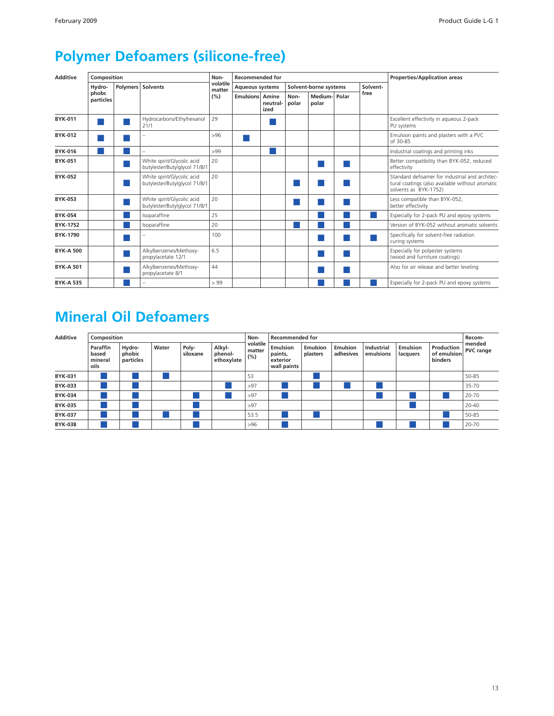## <span id="page-11-0"></span>**Polymer Defoamers (silicone-free)**

| <b>Additive</b>  | Composition        |                 |                                                             | Non-               | <b>Recommended for</b> |                  |               |                       | <b>Properties/Application areas</b> |          |                                                                                                                            |  |  |
|------------------|--------------------|-----------------|-------------------------------------------------------------|--------------------|------------------------|------------------|---------------|-----------------------|-------------------------------------|----------|----------------------------------------------------------------------------------------------------------------------------|--|--|
|                  | Hydro-             | <b>Polymers</b> | <b>Solvents</b>                                             | volatile<br>matter | <b>Aqueous systems</b> |                  |               | Solvent-borne systems |                                     | Solvent- |                                                                                                                            |  |  |
|                  | phobc<br>particles |                 |                                                             | (%)                | <b>Emulsions Amine</b> | neutral-<br>ized | Non-<br>polar | Medium-<br>polar      | Polar                               | free     |                                                                                                                            |  |  |
| <b>BYK-011</b>   |                    |                 | Hydrocarbons/Ethylhexanol<br>21/1                           | 29                 |                        |                  |               |                       |                                     |          | Excellent effectivity in aqueous 2-pack<br>PU systems                                                                      |  |  |
| <b>BYK-012</b>   |                    |                 |                                                             | >96                |                        |                  |               |                       |                                     |          | Emulsion paints and plasters with a PVC<br>of 30-85                                                                        |  |  |
| <b>BYK-016</b>   |                    |                 |                                                             | >99                |                        |                  |               |                       |                                     |          | Industrial coatings and printing inks                                                                                      |  |  |
| <b>BYK-051</b>   |                    |                 | White spirit/Glycolic acid<br>butylester/Butylglycol 71/8/1 | 20                 |                        |                  |               |                       |                                     |          | Better compatibility than BYK-052, reduced<br>effectivity                                                                  |  |  |
| <b>BYK-052</b>   |                    |                 | White spirit/Glycolic acid<br>butylester/Butylglycol 71/8/1 | 20                 |                        |                  |               |                       |                                     |          | Standard defoamer for industrial and architec-<br>tural coatings (also available without aromatic<br>solvents as BYK-1752) |  |  |
| <b>BYK-053</b>   |                    |                 | White spirit/Glycolic acid<br>butylester/Butylglycol 71/8/1 | 20                 |                        |                  |               |                       |                                     |          | Less compatible than BYK-052,<br>better effectivity                                                                        |  |  |
| <b>BYK-054</b>   |                    |                 | Isoparaffine                                                | 25                 |                        |                  |               |                       |                                     |          | Especially for 2-pack PU and epoxy systems                                                                                 |  |  |
| <b>BYK-1752</b>  |                    |                 | Isoparaffine                                                | 20                 |                        |                  |               |                       |                                     |          | Version of BYK-052 without aromatic solvents                                                                               |  |  |
| BYK-1790         |                    |                 |                                                             | 100                |                        |                  |               |                       |                                     |          | Specifically for solvent-free radiation<br>curing systems                                                                  |  |  |
| <b>BYK-A 500</b> |                    |                 | Alkylbenzenes/Methoxy-<br>propylacetate 12/1                | 6.5                |                        |                  |               |                       |                                     |          | Especially for polyester systems<br>(wood and furniture coatings)                                                          |  |  |
| <b>BYK-A 501</b> |                    |                 | Alkylbenzenes/Methoxy-<br>propylacetate 8/1                 | 44                 |                        |                  |               |                       |                                     |          | Also for air release and better leveling                                                                                   |  |  |
| <b>BYK-A 535</b> |                    |                 |                                                             | > 99               |                        |                  |               |                       |                                     |          | Especially for 2-pack PU and epoxy systems                                                                                 |  |  |

## **Mineral Oil Defoamers**

| <b>Additive</b> | Composition                          |                               |       |                   |                                 | Non-                      | <b>Recommended for</b>                                |                             | Recom-                |                                |                      |                                      |                            |
|-----------------|--------------------------------------|-------------------------------|-------|-------------------|---------------------------------|---------------------------|-------------------------------------------------------|-----------------------------|-----------------------|--------------------------------|----------------------|--------------------------------------|----------------------------|
|                 | Paraffin<br>based<br>mineral<br>oils | Hydro-<br>phobic<br>particles | Water | Poly-<br>siloxane | Alkyl-<br>phenol-<br>ethoxylate | volatile<br>matter<br>(%) | <b>Emulsion</b><br>paints,<br>exterior<br>wall paints | <b>Emulsion</b><br>plasters | Emulsion<br>adhesives | <b>Industrial</b><br>emulsions | Emulsion<br>lacquers | Production<br>of emulsion<br>binders | mended<br><b>PVC</b> range |
| <b>BYK-031</b>  |                                      |                               |       |                   |                                 | 53                        |                                                       |                             |                       |                                |                      |                                      | 50-85                      |
| <b>BYK-033</b>  |                                      |                               |       |                   |                                 | >97                       |                                                       |                             |                       |                                |                      |                                      | 35-70                      |
| <b>BYK-034</b>  |                                      |                               |       |                   |                                 | >97                       |                                                       |                             |                       |                                |                      |                                      | 20-70                      |
| <b>BYK-035</b>  |                                      |                               |       |                   |                                 | >97                       |                                                       |                             |                       |                                |                      |                                      | 20-40                      |
| <b>BYK-037</b>  |                                      |                               |       |                   |                                 | 53.5                      |                                                       |                             |                       |                                |                      |                                      | 50-85                      |
| <b>BYK-038</b>  |                                      |                               |       |                   |                                 | >96                       |                                                       |                             |                       |                                |                      |                                      | 20-70                      |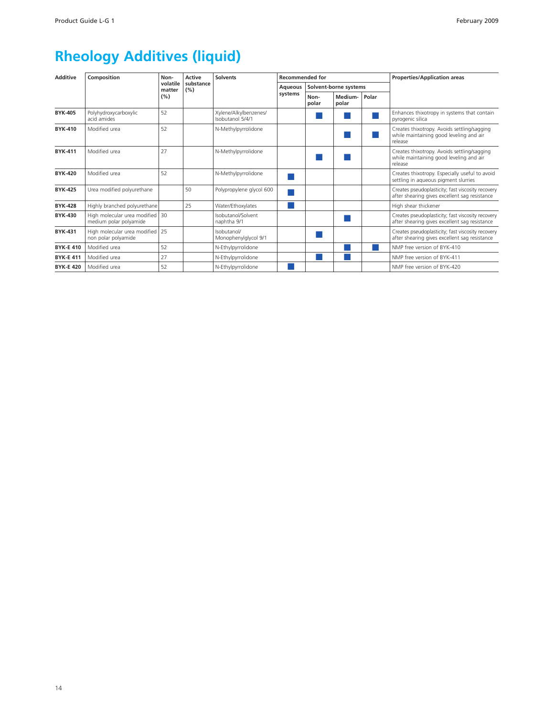## **Rheology Additives (liquid)**

| <b>Additive</b>  | Composition                                                 | Non-               | Active           | <b>Solvents</b>                           | <b>Recommended for</b> |               |                       |       | <b>Properties/Application areas</b>                                                                |  |
|------------------|-------------------------------------------------------------|--------------------|------------------|-------------------------------------------|------------------------|---------------|-----------------------|-------|----------------------------------------------------------------------------------------------------|--|
|                  |                                                             | volatile<br>matter | substance<br>(%) |                                           | <b>Aqueous</b>         |               | Solvent-borne systems |       |                                                                                                    |  |
|                  |                                                             | (%)                |                  |                                           | systems                | Non-<br>polar | Medium-<br>polar      | Polar |                                                                                                    |  |
| <b>BYK-405</b>   | Polyhydroxycarboxylic<br>acid amides                        | 52                 |                  | Xylene/Alkylbenzenes/<br>Isobutanol 5/4/1 |                        |               |                       |       | Enhances thixotropy in systems that contain<br>pyrogenic silica                                    |  |
| <b>BYK-410</b>   | Modified urea                                               | 52                 |                  | N-Methylpyrrolidone                       |                        |               |                       |       | Creates thixotropy. Avoids settling/sagging<br>while maintaining good leveling and air<br>release  |  |
| <b>BYK-411</b>   | Modified urea                                               | 27                 |                  | N-Methylpyrrolidone                       |                        |               |                       |       | Creates thixotropy. Avoids settling/sagging<br>while maintaining good leveling and air<br>release  |  |
| <b>BYK-420</b>   | Modified urea                                               | 52                 |                  | N-Methylpyrrolidone                       |                        |               |                       |       | Creates thixotropy. Especially useful to avoid<br>settling in aqueous pigment slurries             |  |
| <b>BYK-425</b>   | Urea modified polyurethane                                  |                    | 50               | Polypropylene glycol 600                  |                        |               |                       |       | Creates pseudoplasticity; fast viscosity recovery<br>after shearing gives excellent sag resistance |  |
| <b>BYK-428</b>   | Highly branched polyurethane                                |                    | 25               | Water/Ethoxylates                         |                        |               |                       |       | High shear thickener                                                                               |  |
| <b>BYK-430</b>   | High molecular urea modified   30<br>medium polar polyamide |                    |                  | Isobutanol/Solvent<br>naphtha 9/1         |                        |               |                       |       | Creates pseudoplasticity; fast viscosity recovery<br>after shearing gives excellent sag resistance |  |
| <b>BYK-431</b>   | High molecular urea modified 25<br>non polar polyamide      |                    |                  | Isobutanol/<br>Monophenylglycol 9/1       |                        |               |                       |       | Creates pseudoplasticity; fast viscosity recovery<br>after shearing gives excellent sag resistance |  |
| <b>BYK-E 410</b> | Modified urea                                               | 52                 |                  | N-Ethylpyrrolidone                        |                        |               |                       |       | NMP free version of BYK-410                                                                        |  |
| <b>BYK-E 411</b> | Modified urea                                               | 27                 |                  | N-Ethylpyrrolidone                        |                        |               |                       |       | NMP free version of BYK-411                                                                        |  |
| <b>BYK-E 420</b> | Modified urea                                               | 52                 |                  | N-Ethylpyrrolidone                        |                        |               |                       |       | NMP free version of BYK-420                                                                        |  |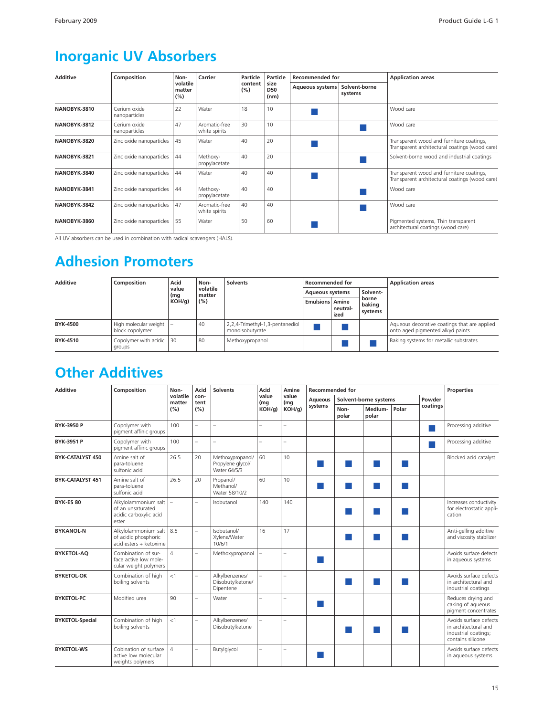### **Inorganic UV Absorbers**

| <b>Additive</b> | Composition                   | Non-                      | Carrier                        | Particle       | Particle                   | <b>Recommended for</b> |                          | <b>Application areas</b>                                                                   |  |
|-----------------|-------------------------------|---------------------------|--------------------------------|----------------|----------------------------|------------------------|--------------------------|--------------------------------------------------------------------------------------------|--|
|                 |                               | volatile<br>matter<br>(%) |                                | content<br>(%) | size<br><b>D50</b><br>(nm) | <b>Aqueous systems</b> | Solvent-borne<br>systems |                                                                                            |  |
| NANOBYK-3810    | Cerium oxide<br>nanoparticles | 22                        | Water                          | 18             | 10                         |                        |                          | Wood care                                                                                  |  |
| NANOBYK-3812    | Cerium oxide<br>nanoparticles | 47                        | Aromatic-free<br>white spirits | 30             | 10                         |                        |                          | Wood care                                                                                  |  |
| NANOBYK-3820    | Zinc oxide nanoparticles      | 45                        | Water                          | 40             | 20                         |                        |                          | Transparent wood and furniture coatings,<br>Transparent architectural coatings (wood care) |  |
| NANOBYK-3821    | Zinc oxide nanoparticles      | 44                        | Methoxy-<br>propylacetate      | 40             | 20                         |                        |                          | Solvent-borne wood and industrial coatings                                                 |  |
| NANOBYK-3840    | Zinc oxide nanoparticles      | 44                        | Water                          | 40             | 40                         |                        |                          | Transparent wood and furniture coatings,<br>Transparent architectural coatings (wood care) |  |
| NANOBYK-3841    | Zinc oxide nanoparticles      | 44                        | Methoxy-<br>propylacetate      | 40             | 40                         |                        |                          | Wood care                                                                                  |  |
| NANOBYK-3842    | Zinc oxide nanoparticles      | 47                        | Aromatic-free<br>white spirits | 40             | 40                         |                        |                          | Wood care                                                                                  |  |
| NANOBYK-3860    | Zinc oxide nanoparticles      | 55                        | Water                          | 50             | 60                         |                        |                          | Pigmented systems, Thin transparent<br>architectural coatings (wood care)                  |  |

All UV absorbers can be used in combination with radical scavengers (HALS).

#### **Adhesion Promoters**

| <b>Additive</b> | Composition                                              | Acid<br>value | Non-<br>volatile | <b>Solvents</b>                                    | <b>Recommended for</b> |                  |                   | <b>Application areas</b>                                                         |  |
|-----------------|----------------------------------------------------------|---------------|------------------|----------------------------------------------------|------------------------|------------------|-------------------|----------------------------------------------------------------------------------|--|
|                 |                                                          | (mg           | matter           |                                                    | <b>Aqueous systems</b> |                  | Solvent-<br>borne |                                                                                  |  |
|                 |                                                          | KOH/q         | (%)              |                                                    | <b>Emulsions Amine</b> | neutral-<br>ized | baking<br>systems |                                                                                  |  |
| <b>BYK-4500</b> | High molecular weight $\vert - \vert$<br>block copolymer |               | 40               | 2,2,4-Trimethyl-1,3-pentanediol<br>monoisobutyrate |                        |                  |                   | Aqueous decorative coatings that are applied<br>onto aged pigmented alkyd paints |  |
| BYK-4510        | Copolymer with acidic   30<br>groups                     |               | 80               | Methoxypropanol                                    |                        |                  |                   | Baking systems for metallic substrates                                           |  |

#### **Other Additives**

| <b>Additive</b>         | Composition                                                                  | Non-                     | Acid                     | <b>Solvents</b>                                       | Acid         | Amine                    | <b>Recommended for</b> |               |                       |       |          | <b>Properties</b>                                                                           |
|-------------------------|------------------------------------------------------------------------------|--------------------------|--------------------------|-------------------------------------------------------|--------------|--------------------------|------------------------|---------------|-----------------------|-------|----------|---------------------------------------------------------------------------------------------|
|                         |                                                                              | volatile<br>matter       | con-<br>tent             |                                                       | value<br>(mg | value<br>(mg             | <b>Aqueous</b>         |               | Solvent-borne systems |       | Powder   |                                                                                             |
|                         |                                                                              | (%)                      | (%)                      |                                                       | $KOH/q$ )    | KOH/q                    | systems                | Non-<br>polar | Medium-<br>polar      | Polar | coatings |                                                                                             |
| BYK-3950 P              | Copolymer with<br>pigment affinic groups                                     | 100                      | L.                       |                                                       |              |                          |                        |               |                       |       |          | Processing additive                                                                         |
| <b>BYK-3951 P</b>       | Copolymer with<br>pigment affinic groups                                     | 100                      | $=$                      |                                                       |              |                          |                        |               |                       |       |          | Processing additive                                                                         |
| BYK-CATALYST 450        | Amine salt of<br>para-toluene<br>sulfonic acid                               | 26.5                     | 20                       | Methoxypropanol/<br>Propylene glycol/<br>Water 64/5/3 | 60           | 10                       |                        | a l           |                       |       |          | Blocked acid catalyst                                                                       |
| <b>BYK-CATALYST 451</b> | Amine salt of<br>para-toluene<br>sulfonic acid                               | 26.5                     | 20                       | Propanol/<br>Methanol/<br>Water 58/10/2               | 60           | 10                       |                        | a.            |                       |       |          |                                                                                             |
| BYK-ES 80               | Alkylolammonium salt<br>of an unsaturated<br>acidic carboxylic acid<br>ester | $\overline{\phantom{a}}$ | ÷.                       | Isobutanol                                            | 140          | 140                      |                        |               |                       |       |          | Increases conductivity<br>for electrostatic appli-<br>cation                                |
| <b>BYKANOL-N</b>        | Alkylolammonium salt   8.5<br>of acidic phosphoric<br>acid esters + ketoxime |                          | ÷,                       | Isobutanol/<br>Xylene/Water<br>10/6/1                 | 16           | 17                       |                        | a l           |                       |       |          | Anti-gelling additive<br>and viscosity stabilizer                                           |
| <b>BYKETOL-AO</b>       | Combination of sur-<br>face active low mole-<br>cular weight polymers        | $\varDelta$              | ÷.                       | Methoxypropanol                                       |              | ۳                        |                        |               |                       |       |          | Avoids surface defects<br>in aqueous systems                                                |
| <b>BYKETOL-OK</b>       | Combination of high<br>boiling solvents                                      | <1                       | L.                       | Alkylbenzenes/<br>Diisobutylketone/<br>Dipentene      |              |                          |                        |               |                       |       |          | Avoids surface defects<br>in architectural and<br>industrial coatings                       |
| <b>BYKETOL-PC</b>       | Modified urea                                                                | 90                       | $\overline{\phantom{0}}$ | Water                                                 |              |                          |                        |               |                       |       |          | Reduces drying and<br>caking of aqueous<br>pigment concentrates                             |
| <b>BYKETOL-Special</b>  | Combination of high<br>boiling solvents                                      | <1                       | ÷,                       | Alkylbenzenes/<br>Diisobutylketone                    |              |                          |                        |               |                       |       |          | Avoids surface defects<br>in architectural and<br>industrial coatings;<br>contains silicone |
| <b>BYKETOL-WS</b>       | Cobination of surface<br>active low molecular<br>weights polymers            | $\overline{4}$           | ÷.                       | Butylglycol                                           | $\equiv$     | $\overline{\phantom{0}}$ |                        |               |                       |       |          | Avoids surface defects<br>in aqueous systems                                                |